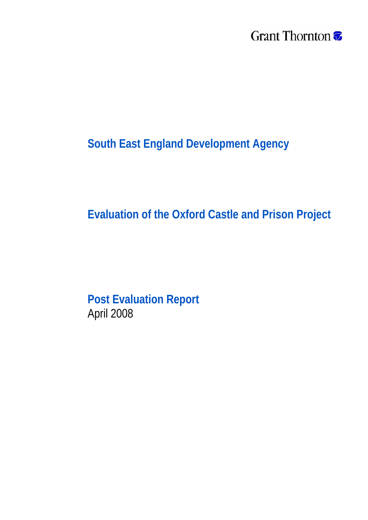## Grant Thornton <del>7</del>

## **South East England Development Agency**

## **Evaluation of the Oxford Castle and Prison Project**

**Post Evaluation Report**  April 2008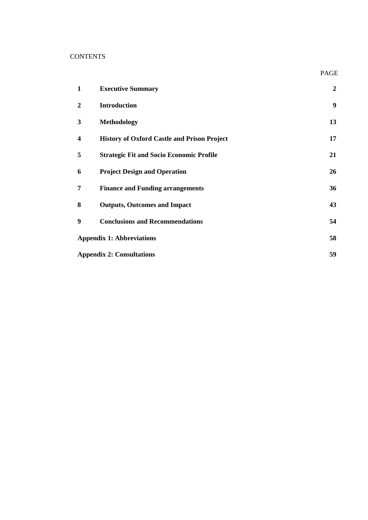#### **CONTENTS**

| 1                       | <b>Executive Summary</b>                           | $\boldsymbol{2}$ |
|-------------------------|----------------------------------------------------|------------------|
| $\boldsymbol{2}$        | <b>Introduction</b>                                | 9                |
| 3                       | <b>Methodology</b>                                 | 13               |
| $\overline{\mathbf{4}}$ | <b>History of Oxford Castle and Prison Project</b> | 17               |
| 5                       | <b>Strategic Fit and Socio Economic Profile</b>    | 21               |
| 6                       | <b>Project Design and Operation</b>                | 26               |
| 7                       | <b>Finance and Funding arrangements</b>            | 36               |
| 8                       | <b>Outputs, Outcomes and Impact</b>                | 43               |
| 9                       | <b>Conclusions and Recommendations</b>             | 54               |
|                         | <b>Appendix 1: Abbreviations</b>                   | 58               |
|                         | <b>Appendix 2: Consultations</b>                   | 59               |

PAGE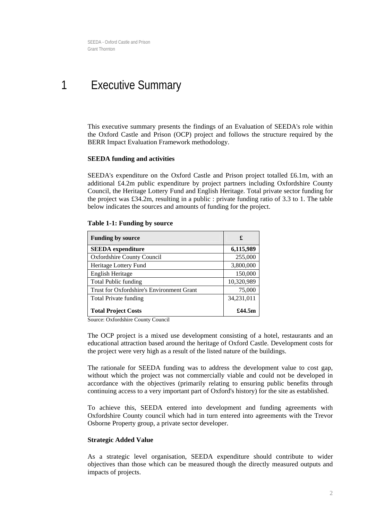## <span id="page-2-0"></span>1 Executive Summary

This executive summary presents the findings of an Evaluation of SEEDA's role within the Oxford Castle and Prison (OCP) project and follows the structure required by the BERR Impact Evaluation Framework methodology.

#### **SEEDA funding and activities**

SEEDA's expenditure on the Oxford Castle and Prison project totalled £6.1m, with an additional £4.2m public expenditure by project partners including Oxfordshire County Council, the Heritage Lottery Fund and English Heritage. Total private sector funding for the project was £34.2m, resulting in a public : private funding ratio of 3.3 to 1. The table below indicates the sources and amounts of funding for the project.

| <b>Funding by source</b>                  | £          |
|-------------------------------------------|------------|
| <b>SEEDA</b> expenditure                  | 6,115,989  |
| <b>Oxfordshire County Council</b>         | 255,000    |
| Heritage Lottery Fund                     | 3,800,000  |
| <b>English Heritage</b>                   | 150,000    |
| <b>Total Public funding</b>               | 10,320,989 |
| Trust for Oxfordshire's Environment Grant | 75,000     |
| <b>Total Private funding</b>              | 34,231,011 |
| <b>Total Project Costs</b>                | £44.5 $m$  |

#### **Table 1-1: Funding by source**

Source: Oxfordshire County Council

The OCP project is a mixed use development consisting of a hotel, restaurants and an educational attraction based around the heritage of Oxford Castle. Development costs for the project were very high as a result of the listed nature of the buildings.

The rationale for SEEDA funding was to address the development value to cost gap, without which the project was not commercially viable and could not be developed in accordance with the objectives (primarily relating to ensuring public benefits through continuing access to a very important part of Oxford's history) for the site as established.

To achieve this, SEEDA entered into development and funding agreements with Oxfordshire County council which had in turn entered into agreements with the Trevor Osborne Property group, a private sector developer.

#### **Strategic Added Value**

As a strategic level organisation, SEEDA expenditure should contribute to wider objectives than those which can be measured though the directly measured outputs and impacts of projects.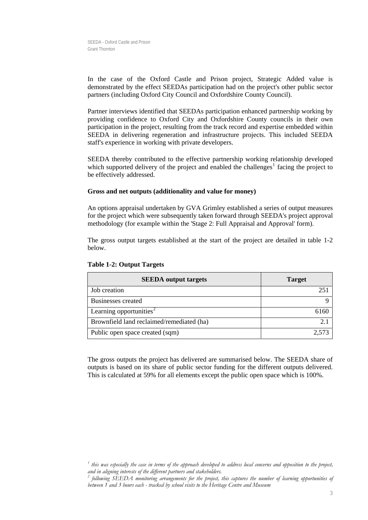In the case of the Oxford Castle and Prison project, Strategic Added value is demonstrated by the effect SEEDAs participation had on the project's other public sector partners (including Oxford City Council and Oxfordshire County Council).

Partner interviews identified that SEEDAs participation enhanced partnership working by providing confidence to Oxford City and Oxfordshire County councils in their own participation in the project, resulting from the track record and expertise embedded within SEEDA in delivering regeneration and infrastructure projects. This included SEEDA staff's experience in working with private developers.

SEEDA thereby contributed to the effective partnership working relationship developed which supported delivery of the project and enabled the challenges<sup>[1](#page-3-0)</sup> facing the project to be effectively addressed.

#### **Gross and net outputs (additionality and value for money)**

An options appraisal undertaken by GVA Grimley established a series of output measures for the project which were subsequently taken forward through SEEDA's project approval methodology (for example within the 'Stage 2: Full Appraisal and Approval' form).

The gross output targets established at the start of the project are detailed in table 1-2 below.

| <b>SEEDA</b> output targets               | <b>Target</b> |  |
|-------------------------------------------|---------------|--|
| Job creation                              |               |  |
| Businesses created                        |               |  |
| Learning opportunities <sup>2</sup>       |               |  |
| Brownfield land reclaimed/remediated (ha) | 2.1           |  |
| Public open space created (sqm)           | 2.573         |  |

#### **Table 1-2: Output Targets**

The gross outputs the project has delivered are summarised below. The SEEDA share of outputs is based on its share of public sector funding for the different outputs delivered. This is calculated at 59% for all elements except the public open space which is 100%.

<span id="page-3-0"></span>*<sup>1</sup> this was especially the case in terms of the approach developed to address local concerns and opposition to the project,*  and in aligning interests of the different partners and stakeholders.

<span id="page-3-1"></span>*following SEEDA monitoring arrangements for the project, this captures the number of learning opportunities of between 1 and 3 hours each - tracked by school visits to the Heritage Centre and Museum*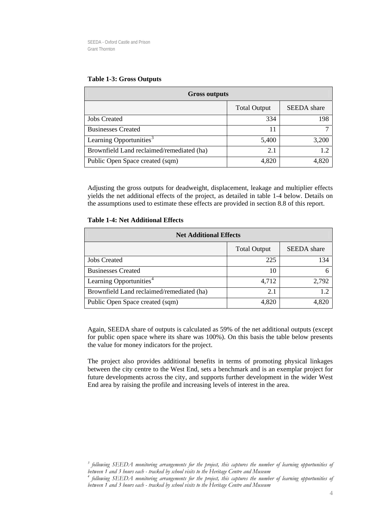| <b>Gross outputs</b>                      |                     |                    |  |
|-------------------------------------------|---------------------|--------------------|--|
|                                           | <b>Total Output</b> | <b>SEEDA</b> share |  |
| <b>Jobs Created</b>                       | 334                 | 198                |  |
| <b>Businesses Created</b>                 | 11                  |                    |  |
| Learning Opportunities <sup>3</sup>       | 5,400               | 3,200              |  |
| Brownfield Land reclaimed/remediated (ha) | 2.1                 | 1.2                |  |
| Public Open Space created (sqm)           | 4,820               | 4,820              |  |

#### **Table 1-3: Gross Outputs**

Adjusting the gross outputs for deadweight, displacement, leakage and multiplier effects yields the net additional effects of the project, as detailed in table 1-4 below. Details on the assumptions used to estimate these effects are provided in section [8.8](#page-49-0) of this report.

#### **Table 1-4: Net Additional Effects**

| <b>Net Additional Effects</b>             |                     |                    |  |  |
|-------------------------------------------|---------------------|--------------------|--|--|
|                                           | <b>Total Output</b> | <b>SEEDA</b> share |  |  |
| <b>Jobs Created</b>                       | 225                 | 134                |  |  |
| <b>Businesses Created</b>                 | 10                  |                    |  |  |
| Learning Opportunities <sup>4</sup>       | 4,712               | 2,792              |  |  |
| Brownfield Land reclaimed/remediated (ha) | 2.1                 | 1.2                |  |  |
| Public Open Space created (sqm)           | 4,820               | 4.820              |  |  |

Again, SEEDA share of outputs is calculated as 59% of the net additional outputs (except for public open space where its share was 100%). On this basis the table below presents the value for money indicators for the project.

The project also provides additional benefits in terms of promoting physical linkages between the city centre to the West End, sets a benchmark and is an exemplar project for future developments across the city, and supports further development in the wider West End area by raising the profile and increasing levels of interest in the area.

<span id="page-4-0"></span><sup>&</sup>lt;sup>3</sup> following SEEDA monitoring arrangements for the project, this captures the number of learning opportunities of *between 1 and 3 hours each - tracked by school visits to the Heritage Centre and Museum* 

<span id="page-4-1"></span>*<sup>4</sup> following SEEDA monitoring arrangements for the project, this captures the number of learning opportunities of between 1 and 3 hours each - tracked by school visits to the Heritage Centre and Museum*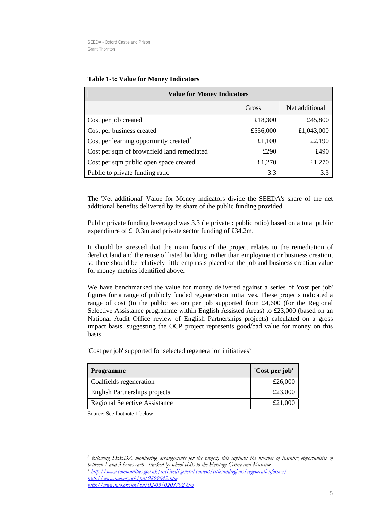| <b>Value for Money Indicators</b>                  |          |                |  |
|----------------------------------------------------|----------|----------------|--|
|                                                    | Gross    | Net additional |  |
| Cost per job created                               | £18,300  | £45,800        |  |
| Cost per business created                          | £556,000 | £1,043,000     |  |
| Cost per learning opportunity created <sup>5</sup> | £1,100   | £2,190         |  |
| Cost per sqm of brownfield land remediated         | £290     | £490           |  |
| Cost per sqm public open space created             | £1,270   | £1,270         |  |
| Public to private funding ratio                    | 3.3      | 3.3            |  |

#### **Table 1-5: Value for Money Indicators**

The 'Net additional' Value for Money indicators divide the SEEDA's share of the net additional benefits delivered by its share of the public funding provided.

Public private funding leveraged was 3.3 (ie private : public ratio) based on a total public expenditure of £10.3m and private sector funding of £34.2m.

It should be stressed that the main focus of the project relates to the remediation of derelict land and the reuse of listed building, rather than employment or business creation, so there should be relatively little emphasis placed on the job and business creation value for money metrics identified above.

We have benchmarked the value for money delivered against a series of 'cost per job' figures for a range of publicly funded regeneration initiatives. These projects indicated a range of cost (to the public sector) per job supported from  $\text{\pounds}4,600$  (for the Regional Selective Assistance programme within English Assisted Areas) to £23,000 (based on an National Audit Office review of English Partnerships projects) calculated on a gross impact basis, suggesting the OCP project represents good/bad value for money on this basis.

'Cost per job' supported for selected regeneration initiatives<sup>[6](#page-5-1)</sup>

| <b>Programme</b>                     | 'Cost per job' |
|--------------------------------------|----------------|
| Coalfields regeneration              | £26,000        |
| <b>English Partnerships projects</b> | £23,000        |
| <b>Regional Selective Assistance</b> | £21,000        |

Source: See footnote 1 below.

<span id="page-5-1"></span><span id="page-5-0"></span><sup>5</sup> following SEEDA monitoring arrangements for the project, this captures the number of learning opportunities of *between 1 and 3 hours each - tracked by school visits to the Heritage Centre and Museum <sup>6</sup> <http://www.communities.gov.uk/archived/general-content/citiesandregions/regenerationformer/> <http://www.nao.org.uk/pn/9899642.htm> <http://www.nao.org.uk/pn/02-03/0203702.htm>*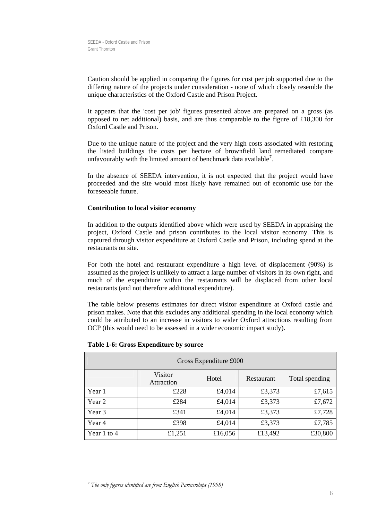Caution should be applied in comparing the figures for cost per job supported due to the differing nature of the projects under consideration - none of which closely resemble the unique characteristics of the Oxford Castle and Prison Project.

It appears that the 'cost per job' figures presented above are prepared on a gross (as opposed to net additional) basis, and are thus comparable to the figure of £18,300 for Oxford Castle and Prison.

Due to the unique nature of the project and the very high costs associated with restoring the listed buildings the costs per hectare of brownfield land remediated compare unfavourably with the limited amount of benchmark data available<sup>[7](#page-6-0)</sup>.

In the absence of SEEDA intervention, it is not expected that the project would have proceeded and the site would most likely have remained out of economic use for the foreseeable future.

#### **Contribution to local visitor economy**

In addition to the outputs identified above which were used by SEEDA in appraising the project, Oxford Castle and prison contributes to the local visitor economy. This is captured through visitor expenditure at Oxford Castle and Prison, including spend at the restaurants on site.

For both the hotel and restaurant expenditure a high level of displacement (90%) is assumed as the project is unlikely to attract a large number of visitors in its own right, and much of the expenditure within the restaurants will be displaced from other local restaurants (and not therefore additional expenditure).

The table below presents estimates for direct visitor expenditure at Oxford castle and prison makes. Note that this excludes any additional spending in the local economy which could be attributed to an increase in visitors to wider Oxford attractions resulting from OCP (this would need to be assessed in a wider economic impact study).

<span id="page-6-0"></span>

| Gross Expenditure £000 |                       |         |            |                |  |
|------------------------|-----------------------|---------|------------|----------------|--|
|                        | Visitor<br>Attraction | Hotel   | Restaurant | Total spending |  |
| Year 1                 | £228                  | £4,014  | £3,373     | £7,615         |  |
| Year 2                 | £284                  | £4,014  | £3,373     | £7,672         |  |
| Year 3                 | £341                  | £4,014  | £3,373     | £7,728         |  |
| Year 4                 | £398                  | £4,014  | £3,373     | £7,785         |  |
| Year 1 to 4            | £1,251                | £16,056 | £13,492    | £30,800        |  |

#### **Table 1-6: Gross Expenditure by source**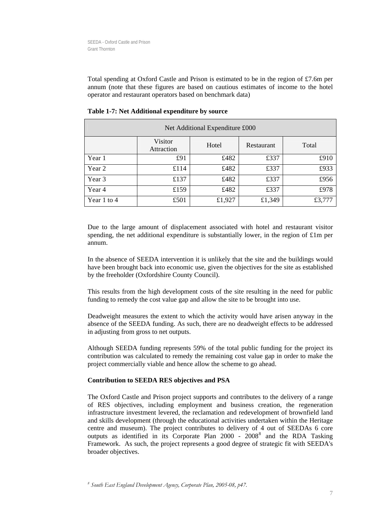Total spending at Oxford Castle and Prison is estimated to be in the region of £7.6m per annum (note that these figures are based on cautious estimates of income to the hotel operator and restaurant operators based on benchmark data)

| Net Additional Expenditure £000 |                       |        |            |        |  |
|---------------------------------|-----------------------|--------|------------|--------|--|
|                                 | Visitor<br>Attraction | Hotel  | Restaurant | Total  |  |
| Year 1                          | £91                   | £482   | £337       | £910   |  |
| Year 2                          | £114                  | £482   | £337       | £933   |  |
| Year 3                          | £137                  | £482   | £337       | £956   |  |
| Year 4                          | £159                  | £482   | £337       | £978   |  |
| Year 1 to 4                     | £501                  | £1,927 | £1,349     | £3,777 |  |

**Table 1-7: Net Additional expenditure by source** 

Due to the large amount of displacement associated with hotel and restaurant visitor spending, the net additional expenditure is substantially lower, in the region of  $£1m$  per annum.

In the absence of SEEDA intervention it is unlikely that the site and the buildings would have been brought back into economic use, given the objectives for the site as established by the freeholder (Oxfordshire County Council).

This results from the high development costs of the site resulting in the need for public funding to remedy the cost value gap and allow the site to be brought into use.

Deadweight measures the extent to which the activity would have arisen anyway in the absence of the SEEDA funding. As such, there are no deadweight effects to be addressed in adjusting from gross to net outputs.

Although SEEDA funding represents 59% of the total public funding for the project its contribution was calculated to remedy the remaining cost value gap in order to make the project commercially viable and hence allow the scheme to go ahead.

#### **Contribution to SEEDA RES objectives and PSA**

The Oxford Castle and Prison project supports and contributes to the delivery of a range of RES objectives, including employment and business creation, the regeneration infrastructure investment levered, the reclamation and redevelopment of brownfield land and skills development (through the educational activities undertaken within the Heritage centre and museum). The project contributes to delivery of 4 out of SEEDAs 6 core outputs as identified in its Corporate Plan  $2000 - 2008<sup>8</sup>$  $2000 - 2008<sup>8</sup>$  $2000 - 2008<sup>8</sup>$  and the RDA Tasking Framework. As such, the project represents a good degree of strategic fit with SEEDA's broader objectives.

<span id="page-7-0"></span>*8 South East England Development Agency, Corporate Plan, 2005-08, p47.*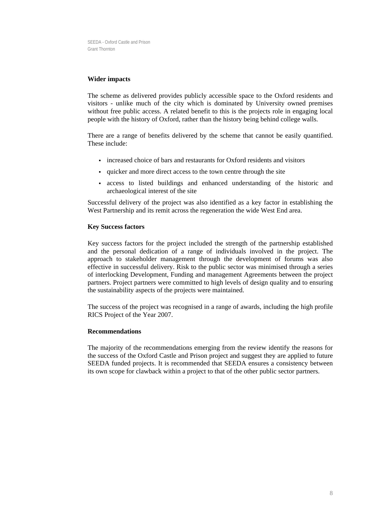#### **Wider impacts**

The scheme as delivered provides publicly accessible space to the Oxford residents and visitors - unlike much of the city which is dominated by University owned premises without free public access. A related benefit to this is the projects role in engaging local people with the history of Oxford, rather than the history being behind college walls.

There are a range of benefits delivered by the scheme that cannot be easily quantified. These include:

- increased choice of bars and restaurants for Oxford residents and visitors
- quicker and more direct access to the town centre through the site
- access to listed buildings and enhanced understanding of the historic and archaeological interest of the site

Successful delivery of the project was also identified as a key factor in establishing the West Partnership and its remit across the regeneration the wide West End area.

#### **Key Success factors**

Key success factors for the project included the strength of the partnership established and the personal dedication of a range of individuals involved in the project. The approach to stakeholder management through the development of forums was also effective in successful delivery. Risk to the public sector was minimised through a series of interlocking Development, Funding and management Agreements between the project partners. Project partners were committed to high levels of design quality and to ensuring the sustainability aspects of the projects were maintained.

The success of the project was recognised in a range of awards, including the high profile RICS Project of the Year 2007.

#### **Recommendations**

The majority of the recommendations emerging from the review identify the reasons for the success of the Oxford Castle and Prison project and suggest they are applied to future SEEDA funded projects. It is recommended that SEEDA ensures a consistency between its own scope for clawback within a project to that of the other public sector partners.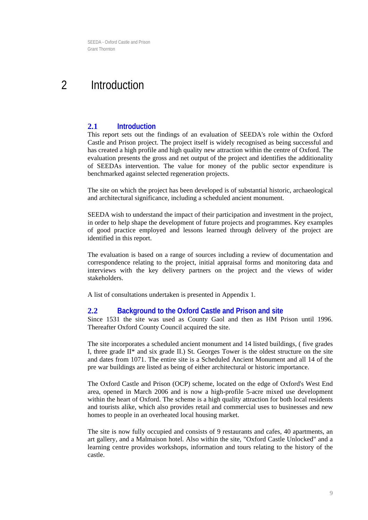## <span id="page-9-0"></span>2 Introduction

### **2.1 Introduction**

This report sets out the findings of an evaluation of SEEDA's role within the Oxford Castle and Prison project. The project itself is widely recognised as being successful and has created a high profile and high quality new attraction within the centre of Oxford. The evaluation presents the gross and net output of the project and identifies the additionality of SEEDAs intervention. The value for money of the public sector expenditure is benchmarked against selected regeneration projects.

The site on which the project has been developed is of substantial historic, archaeological and architectural significance, including a scheduled ancient monument.

SEEDA wish to understand the impact of their participation and investment in the project, in order to help shape the development of future projects and programmes. Key examples of good practice employed and lessons learned through delivery of the project are identified in this report.

The evaluation is based on a range of sources including a review of documentation and correspondence relating to the project, initial appraisal forms and monitoring data and interviews with the key delivery partners on the project and the views of wider stakeholders.

A list of consultations undertaken is presented in Appendix 1.

#### **2.2 Background to the Oxford Castle and Prison and site**

Since 1531 the site was used as County Gaol and then as HM Prison until 1996. Thereafter Oxford County Council acquired the site.

The site incorporates a scheduled ancient monument and 14 listed buildings, ( five grades I, three grade  $II^*$  and six grade II.) St. Georges Tower is the oldest structure on the site and dates from 1071. The entire site is a Scheduled Ancient Monument and all 14 of the pre war buildings are listed as being of either architectural or historic importance.

The Oxford Castle and Prison (OCP) scheme, located on the edge of Oxford's West End area, opened in March 2006 and is now a high-profile 5-acre mixed use development within the heart of Oxford. The scheme is a high quality attraction for both local residents and tourists alike, which also provides retail and commercial uses to businesses and new homes to people in an overheated local housing market.

The site is now fully occupied and consists of 9 restaurants and cafes, 40 apartments, an art gallery, and a Malmaison hotel. Also within the site, "Oxford Castle Unlocked" and a learning centre provides workshops, information and tours relating to the history of the castle.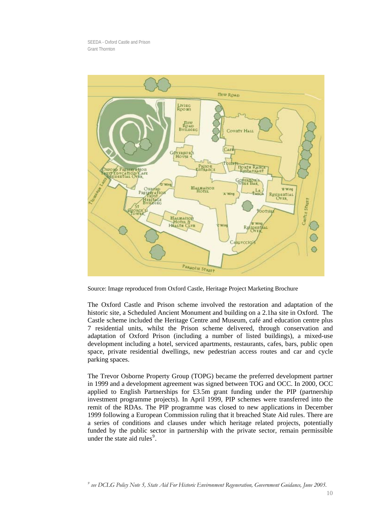

Source: Image reproduced from Oxford Castle, Heritage Project Marketing Brochure

The Oxford Castle and Prison scheme involved the restoration and adaptation of the historic site, a Scheduled Ancient Monument and building on a 2.1ha site in Oxford. The Castle scheme included the Heritage Centre and Museum, café and education centre plus 7 residential units, whilst the Prison scheme delivered, through conservation and adaptation of Oxford Prison (including a number of listed buildings), a mixed-use development including a hotel, serviced apartments, restaurants, cafes, bars, public open space, private residential dwellings, new pedestrian access routes and car and cycle parking spaces.

<span id="page-10-0"></span>The Trevor Osborne Property Group (TOPG) became the preferred development partner in 1999 and a development agreement was signed between TOG and OCC. In 2000, OCC applied to English Partnerships for £3.5m grant funding under the PIP (partnership investment programme projects). In April 1999, PIP schemes were transferred into the remit of the RDAs. The PIP programme was closed to new applications in December 1999 following a European Commission ruling that it breached State Aid rules. There are a series of conditions and clauses under which heritage related projects, potentially funded by the public sector in partnership with the private sector, remain permissible under the state aid rules<sup>[9](#page-10-0)</sup>.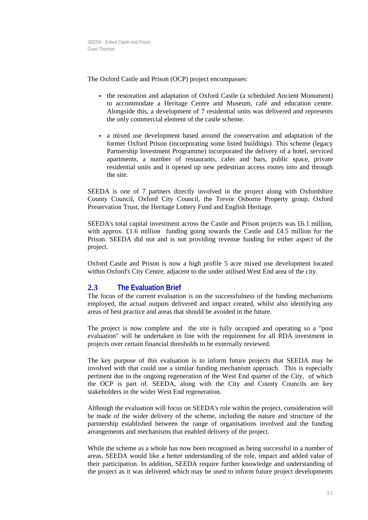The Oxford Castle and Prison (OCP) project encompasses:

- the restoration and adaptation of Oxford Castle (a scheduled Ancient Monument) to accommodate a Heritage Centre and Museum, café and education centre. Alongside this, a development of 7 residential units was delivered and represents the only commercial element of the castle scheme.
- a mixed use development based around the conservation and adaptation of the former Oxford Prison (incorporating some listed buildings). This scheme (legacy Partnership Investment Programme) incorporated the delivery of a hotel, serviced apartments, a number of restaurants, cafes and bars, public space, private residential units and it opened up new pedestrian access routes into and through the site.

SEEDA is one of 7 partners directly involved in the project along with Oxfordshire County Council, Oxford City Council, the Trevor Osborne Property group, Oxford Preservation Trust, the Heritage Lottery Fund and English Heritage.

SEEDA's total capital investment across the Castle and Prison projects was £6.1 million, with approx.  $\pounds$ 1.6 million funding going towards the Castle and  $\pounds$ 4.5 million for the Prison. SEEDA did not and is not providing revenue funding for either aspect of the project.

Oxford Castle and Prison is now a high profile 5 acre mixed use development located within Oxford's City Centre, adjacent to the under utilised West End area of the city.

## **2.3 The Evaluation Brief**

The focus of the current evaluation is on the successfulness of the funding mechanisms employed, the actual outputs delivered and impact created, whilst also identifying any areas of best practice and areas that should be avoided in the future.

The project is now complete and the site is fully occupied and operating so a "post evaluation" will be undertaken in line with the requirement for all RDA investment in projects over certain financial thresholds to be externally reviewed.

The key purpose of this evaluation is to inform future projects that SEEDA may be involved with that could use a similar funding mechanism approach. This is especially pertinent due to the ongoing regeneration of the West End quarter of the City, of which the OCP is part of. SEEDA, along with the City and County Councils are key stakeholders in the wider West End regeneration.

Although the evaluation will focus on SEEDA's role within the project, consideration will be made of the wider delivery of the scheme, including the nature and structure of the partnership established between the range of organisations involved and the funding arrangements and mechanisms that enabled delivery of the project.

While the scheme as a whole has now been recognised as being successful in a number of areas, SEEDA would like a better understanding of the role, impact and added value of their participation. In addition, SEEDA require further knowledge and understanding of the project as it was delivered which may be used to inform future project developments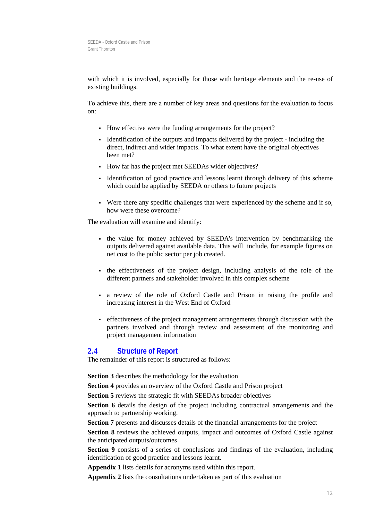with which it is involved, especially for those with heritage elements and the re-use of existing buildings.

To achieve this, there are a number of key areas and questions for the evaluation to focus on:

- How effective were the funding arrangements for the project?
- Identification of the outputs and impacts delivered by the project including the direct, indirect and wider impacts. To what extent have the original objectives been met?
- How far has the project met SEEDAs wider objectives?
- Identification of good practice and lessons learnt through delivery of this scheme which could be applied by SEEDA or others to future projects
- Were there any specific challenges that were experienced by the scheme and if so, how were these overcome?

The evaluation will examine and identify:

- the value for money achieved by SEEDA's intervention by benchmarking the outputs delivered against available data. This will include, for example figures on net cost to the public sector per job created.
- the effectiveness of the project design, including analysis of the role of the different partners and stakeholder involved in this complex scheme
- a review of the role of Oxford Castle and Prison in raising the profile and increasing interest in the West End of Oxford
- effectiveness of the project management arrangements through discussion with the partners involved and through review and assessment of the monitoring and project management information

#### **2.4 Structure of Report**

The remainder of this report is structured as follows:

**Section 3** describes the methodology for the evaluation

**Section 4** provides an overview of the Oxford Castle and Prison project

**Section 5** reviews the strategic fit with SEEDAs broader objectives

**Section 6** details the design of the project including contractual arrangements and the approach to partnership working.

**Section 7** presents and discusses details of the financial arrangements for the project

**Section 8** reviews the achieved outputs, impact and outcomes of Oxford Castle against the anticipated outputs/outcomes

**Section 9** consists of a series of conclusions and findings of the evaluation, including identification of good practice and lessons learnt.

**Appendix 1** lists details for acronyms used within this report.

**Appendix 2** lists the consultations undertaken as part of this evaluation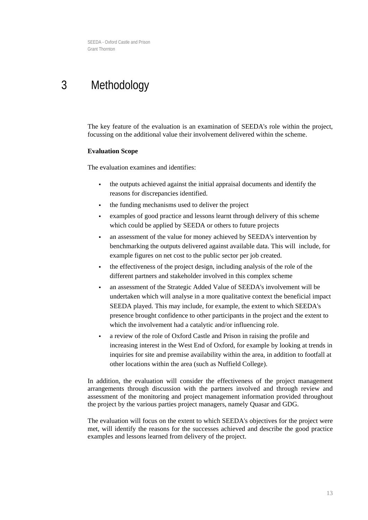## <span id="page-13-0"></span>3 Methodology

The key feature of the evaluation is an examination of SEEDA's role within the project, focussing on the additional value their involvement delivered within the scheme.

#### **Evaluation Scope**

The evaluation examines and identifies:

- the outputs achieved against the initial appraisal documents and identify the reasons for discrepancies identified.
- the funding mechanisms used to deliver the project
- examples of good practice and lessons learnt through delivery of this scheme which could be applied by SEEDA or others to future projects
- an assessment of the value for money achieved by SEEDA's intervention by benchmarking the outputs delivered against available data. This will include, for example figures on net cost to the public sector per job created.
- the effectiveness of the project design, including analysis of the role of the different partners and stakeholder involved in this complex scheme
- an assessment of the Strategic Added Value of SEEDA's involvement will be undertaken which will analyse in a more qualitative context the beneficial impact SEEDA played. This may include, for example, the extent to which SEEDA's presence brought confidence to other participants in the project and the extent to which the involvement had a catalytic and/or influencing role.
- a review of the role of Oxford Castle and Prison in raising the profile and increasing interest in the West End of Oxford, for example by looking at trends in inquiries for site and premise availability within the area, in addition to footfall at other locations within the area (such as Nuffield College).

In addition, the evaluation will consider the effectiveness of the project management arrangements through discussion with the partners involved and through review and assessment of the monitoring and project management information provided throughout the project by the various parties project managers, namely Quasar and GDG.

The evaluation will focus on the extent to which SEEDA's objectives for the project were met, will identify the reasons for the successes achieved and describe the good practice examples and lessons learned from delivery of the project.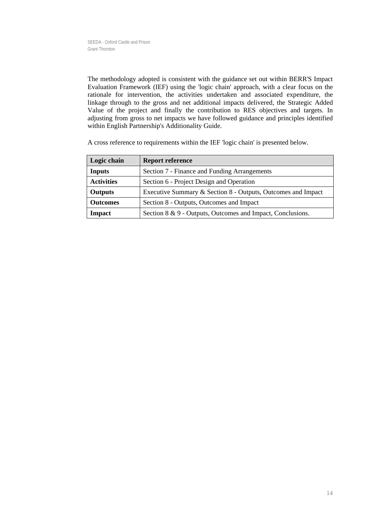The methodology adopted is consistent with the guidance set out within BERR'S Impact Evaluation Framework (IEF) using the 'logic chain' approach, with a clear focus on the rationale for intervention, the activities undertaken and associated expenditure, the linkage through to the gross and net additional impacts delivered, the Strategic Added Value of the project and finally the contribution to RES objectives and targets. In adjusting from gross to net impacts we have followed guidance and principles identified within English Partnership's Additionality Guide.

A cross reference to requirements within the IEF 'logic chain' is presented below.

| Logic chain       | <b>Report reference</b>                                      |
|-------------------|--------------------------------------------------------------|
| <b>Inputs</b>     | Section 7 - Finance and Funding Arrangements                 |
| <b>Activities</b> | Section 6 - Project Design and Operation                     |
| <b>Outputs</b>    | Executive Summary & Section 8 - Outputs, Outcomes and Impact |
| <b>Outcomes</b>   | Section 8 - Outputs, Outcomes and Impact                     |
| Impact            | Section 8 & 9 - Outputs, Outcomes and Impact, Conclusions.   |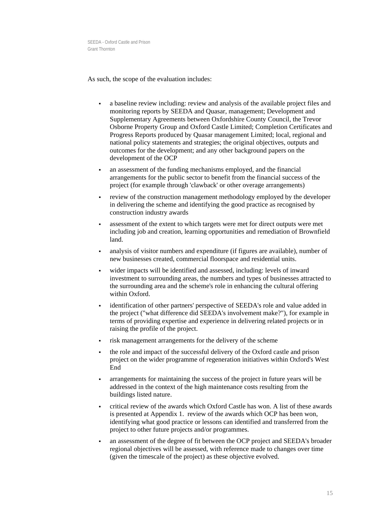As such, the scope of the evaluation includes:

- a baseline review including: review and analysis of the available project files and monitoring reports by SEEDA and Quasar, management; Development and Supplementary Agreements between Oxfordshire County Council, the Trevor Osborne Property Group and Oxford Castle Limited; Completion Certificates and Progress Reports produced by Quasar management Limited; local, regional and national policy statements and strategies; the original objectives, outputs and outcomes for the development; and any other background papers on the development of the OCP
- an assessment of the funding mechanisms employed, and the financial arrangements for the public sector to benefit from the financial success of the project (for example through 'clawback' or other overage arrangements)
- review of the construction management methodology employed by the developer in delivering the scheme and identifying the good practice as recognised by construction industry awards
- assessment of the extent to which targets were met for direct outputs were met including job and creation, learning opportunities and remediation of Brownfield land.
- analysis of visitor numbers and expenditure (if figures are available), number of new businesses created, commercial floorspace and residential units.
- wider impacts will be identified and assessed, including: levels of inward investment to surrounding areas, the numbers and types of businesses attracted to the surrounding area and the scheme's role in enhancing the cultural offering within Oxford.
- identification of other partners' perspective of SEEDA's role and value added in the project ("what difference did SEEDA's involvement make?"), for example in terms of providing expertise and experience in delivering related projects or in raising the profile of the project.
- risk management arrangements for the delivery of the scheme
- the role and impact of the successful delivery of the Oxford castle and prison project on the wider programme of regeneration initiatives within Oxford's West End
- arrangements for maintaining the success of the project in future years will be addressed in the context of the high maintenance costs resulting from the buildings listed nature.
- critical review of the awards which Oxford Castle has won. A list of these awards is presented at Appendix 1. review of the awards which OCP has been won, identifying what good practice or lessons can identified and transferred from the project to other future projects and/or programmes.
- an assessment of the degree of fit between the OCP project and SEEDA's broader regional objectives will be assessed, with reference made to changes over time (given the timescale of the project) as these objective evolved.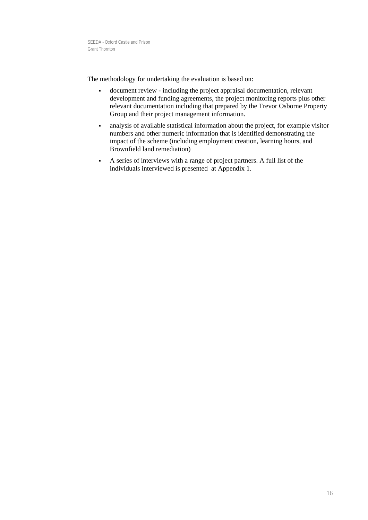The methodology for undertaking the evaluation is based on:

- document review including the project appraisal documentation, relevant development and funding agreements, the project monitoring reports plus other relevant documentation including that prepared by the Trevor Osborne Property Group and their project management information.
- analysis of available statistical information about the project, for example visitor numbers and other numeric information that is identified demonstrating the impact of the scheme (including employment creation, learning hours, and Brownfield land remediation)
- A series of interviews with a range of project partners. A full list of the individuals interviewed is presented at Appendix 1.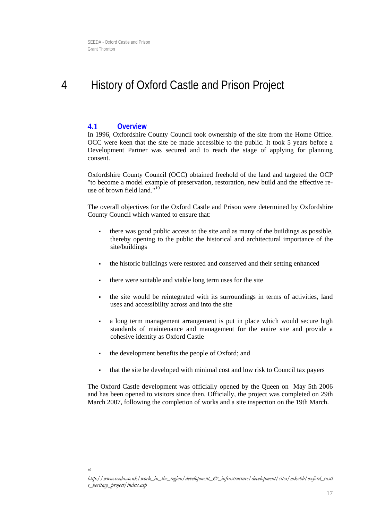## <span id="page-17-0"></span>4 History of Oxford Castle and Prison Project

#### **4.1 Overview**

In 1996, Oxfordshire County Council took ownership of the site from the Home Office. OCC were keen that the site be made accessible to the public. It took 5 years before a Development Partner was secured and to reach the stage of applying for planning consent.

Oxfordshire County Council (OCC) obtained freehold of the land and targeted the OCP "to become a model example of preservation, restoration, new build and the effective reuse of brown field land." $10^{10}$  $10^{10}$ 

The overall objectives for the Oxford Castle and Prison were determined by Oxfordshire County Council which wanted to ensure that:

- there was good public access to the site and as many of the buildings as possible, thereby opening to the public the historical and architectural importance of the site/buildings
- the historic buildings were restored and conserved and their setting enhanced
- there were suitable and viable long term uses for the site
- the site would be reintegrated with its surroundings in terms of activities, land uses and accessibility across and into the site
- a long term management arrangement is put in place which would secure high standards of maintenance and management for the entire site and provide a cohesive identity as Oxford Castle
- the development benefits the people of Oxford; and
- that the site be developed with minimal cost and low risk to Council tax payers

<span id="page-17-1"></span>The Oxford Castle development was officially opened by the Queen on May 5th 2006 and has been opened to visitors since then. Officially, the project was completed on 29th March 2007, following the completion of works and a site inspection on the 19th March.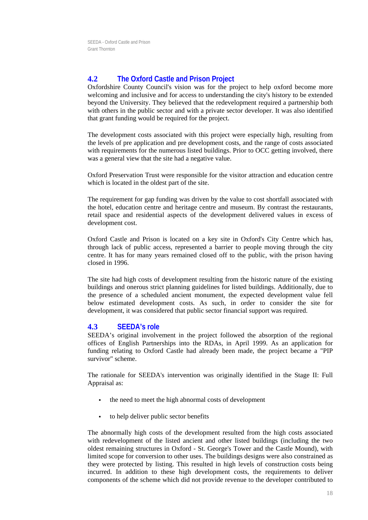## **4.2 The Oxford Castle and Prison Project**

Oxfordshire County Council's vision was for the project to help oxford become more welcoming and inclusive and for access to understanding the city's history to be extended beyond the University. They believed that the redevelopment required a partnership both with others in the public sector and with a private sector developer. It was also identified that grant funding would be required for the project.

The development costs associated with this project were especially high, resulting from the levels of pre application and pre development costs, and the range of costs associated with requirements for the numerous listed buildings. Prior to OCC getting involved, there was a general view that the site had a negative value.

Oxford Preservation Trust were responsible for the visitor attraction and education centre which is located in the oldest part of the site.

The requirement for gap funding was driven by the value to cost shortfall associated with the hotel, education centre and heritage centre and museum. By contrast the restaurants, retail space and residential aspects of the development delivered values in excess of development cost.

Oxford Castle and Prison is located on a key site in Oxford's City Centre which has, through lack of public access, represented a barrier to people moving through the city centre. It has for many years remained closed off to the public, with the prison having closed in 1996.

The site had high costs of development resulting from the historic nature of the existing buildings and onerous strict planning guidelines for listed buildings. Additionally, due to the presence of a scheduled ancient monument, the expected development value fell below estimated development costs. As such, in order to consider the site for development, it was considered that public sector financial support was required.

#### **4.3 SEEDA's role**

SEEDA's original involvement in the project followed the absorption of the regional offices of English Partnerships into the RDAs, in April 1999. As an application for funding relating to Oxford Castle had already been made, the project became a "PIP survivor" scheme.

The rationale for SEEDA's intervention was originally identified in the Stage II: Full Appraisal as:

- the need to meet the high abnormal costs of development
- to help deliver public sector benefits

The abnormally high costs of the development resulted from the high costs associated with redevelopment of the listed ancient and other listed buildings (including the two oldest remaining structures in Oxford - St. George's Tower and the Castle Mound), with limited scope for conversion to other uses. The buildings designs were also constrained as they were protected by listing. This resulted in high levels of construction costs being incurred. In addition to these high development costs, the requirements to deliver components of the scheme which did not provide revenue to the developer contributed to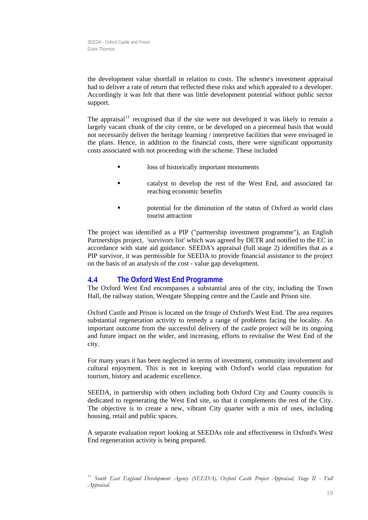the development value shortfall in relation to costs. The scheme's investment appraisal had to deliver a rate of return that reflected these risks and which appealed to a developer. Accordingly it was felt that there was little development potential without public sector support.

The appraisal<sup>[11](#page-19-0)</sup> recognised that if the site were not developed it was likely to remain a largely vacant chunk of the city centre, or be developed on a piecemeal basis that would not necessarily deliver the heritage learning / interpretive facilities that were envisaged in the plans. Hence, in addition to the financial costs, there were significant opportunity costs associated with not proceeding with the scheme. These included

- loss of historically important monuments
- catalyst to develop the rest of the West End, and associated far reaching economic benefits
- **Example 3** a potential for the diminution of the status of Oxford as world class tourist attraction

The project was identified as a PIP ("partnership investment programme"), an English Partnerships project, 'survivors list' which was agreed by DETR and notified to the EC in accordance with state aid guidance. SEEDA's appraisal (full stage 2) identifies that as a PIP survivor, it was permissible for SEEDA to provide financial assistance to the project on the basis of an analysis of the cost - value gap development.

## **4.4 The Oxford West End Programme**

The Oxford West End encompasses a substantial area of the city, including the Town Hall, the railway station, Westgate Shopping centre and the Castle and Prison site.

Oxford Castle and Prison is located on the fringe of Oxford's West End. The area requires substantial regeneration activity to remedy a range of problems facing the locality. An important outcome from the successful delivery of the castle project will be its ongoing and future impact on the wider, and increasing, efforts to revitalise the West End of the city.

For many years it has been neglected in terms of investment, community involvement and cultural enjoyment. This is not in keeping with Oxford's world class reputation for tourism, history and academic excellence.

SEEDA, in partnership with others including both Oxford City and County councils is dedicated to regenerating the West End site, so that it complements the rest of the City. The objective is to create a new, vibrant City quarter with a mix of uses, including housing, retail and public spaces.

A separate evaluation report looking at SEEDAs role and effectiveness in Oxford's West End regeneration activity is being prepared.

<span id="page-19-0"></span>*<sup>11</sup> South East England Development Agency (SEEDA), Oxford Castle Project Appraisal, Stage II - Full Appraisal.*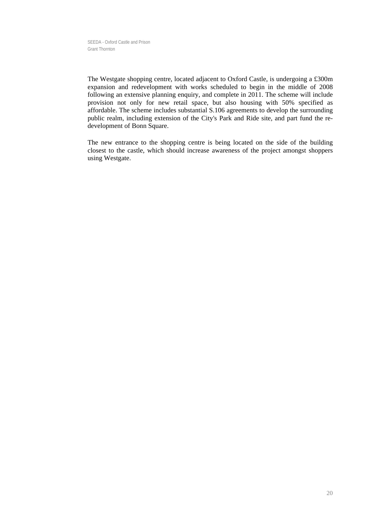The Westgate shopping centre, located adjacent to Oxford Castle, is undergoing a £300m expansion and redevelopment with works scheduled to begin in the middle of 2008 following an extensive planning enquiry, and complete in 2011. The scheme will include provision not only for new retail space, but also housing with 50% specified as affordable. The scheme includes substantial S.106 agreements to develop the surrounding public realm, including extension of the City's Park and Ride site, and part fund the redevelopment of Bonn Square.

The new entrance to the shopping centre is being located on the side of the building closest to the castle, which should increase awareness of the project amongst shoppers using Westgate.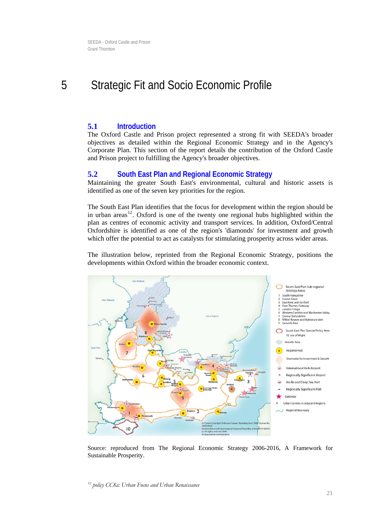## <span id="page-21-0"></span>5 Strategic Fit and Socio Economic Profile

### **5.1 Introduction**

The Oxford Castle and Prison project represented a strong fit with SEEDA's broader objectives as detailed within the Regional Economic Strategy and in the Agency's Corporate Plan. This section of the report details the contribution of the Oxford Castle and Prison project to fulfilling the Agency's broader objectives.

### **5.2 South East Plan and Regional Economic Strategy**

Maintaining the greater South East's environmental, cultural and historic assets is identified as one of the seven key priorities for the region.

The South East Plan identifies that the focus for development within the region should be in urban areas<sup>[12](#page-21-1)</sup>. Oxford is one of the twenty one regional hubs highlighted within the plan as centres of economic activity and transport services. In addition, Oxford/Central Oxfordshire is identified as one of the region's 'diamonds' for investment and growth which offer the potential to act as catalysts for stimulating prosperity across wider areas.

The illustration below, reprinted from the Regional Economic Strategy, positions the developments within Oxford within the broader economic context.



<span id="page-21-1"></span>Source: reproduced from The Regional Economic Strategy 2006-2016, A Framework for Sustainable Prosperity.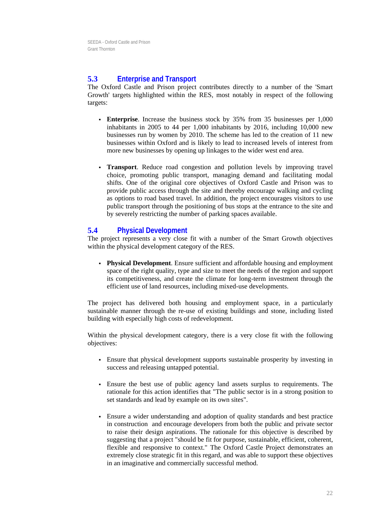## **5.3 Enterprise and Transport**

The Oxford Castle and Prison project contributes directly to a number of the 'Smart Growth' targets highlighted within the RES, most notably in respect of the following targets:

- **Enterprise**. Increase the business stock by 35% from 35 businesses per 1,000 inhabitants in 2005 to 44 per 1,000 inhabitants by 2016, including 10,000 new businesses run by women by 2010. The scheme has led to the creation of 11 new businesses within Oxford and is likely to lead to increased levels of interest from more new businesses by opening up linkages to the wider west end area.
- **Transport**. Reduce road congestion and pollution levels by improving travel choice, promoting public transport, managing demand and facilitating modal shifts. One of the original core objectives of Oxford Castle and Prison was to provide public access through the site and thereby encourage walking and cycling as options to road based travel. In addition, the project encourages visitors to use public transport through the positioning of bus stops at the entrance to the site and by severely restricting the number of parking spaces available.

## **5.4 Physical Development**

The project represents a very close fit with a number of the Smart Growth objectives within the physical development category of the RES.

 **Physical Development**. Ensure sufficient and affordable housing and employment space of the right quality, type and size to meet the needs of the region and support its competitiveness, and create the climate for long-term investment through the efficient use of land resources, including mixed-use developments.

The project has delivered both housing and employment space, in a particularly sustainable manner through the re-use of existing buildings and stone, including listed building with especially high costs of redevelopment.

Within the physical development category, there is a very close fit with the following objectives:

- Ensure that physical development supports sustainable prosperity by investing in success and releasing untapped potential.
- Ensure the best use of public agency land assets surplus to requirements. The rationale for this action identifies that "The public sector is in a strong position to set standards and lead by example on its own sites".
- Ensure a wider understanding and adoption of quality standards and best practice in construction and encourage developers from both the public and private sector to raise their design aspirations. The rationale for this objective is described by suggesting that a project "should be fit for purpose, sustainable, efficient, coherent, flexible and responsive to context." The Oxford Castle Project demonstrates an extremely close strategic fit in this regard, and was able to support these objectives in an imaginative and commercially successful method.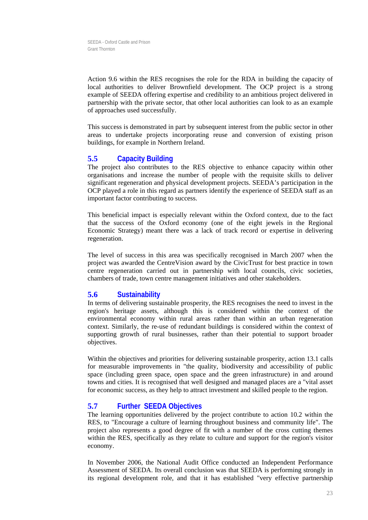Action 9.6 within the RES recognises the role for the RDA in building the capacity of local authorities to deliver Brownfield development. The OCP project is a strong example of SEEDA offering expertise and credibility to an ambitious project delivered in partnership with the private sector, that other local authorities can look to as an example of approaches used successfully.

This success is demonstrated in part by subsequent interest from the public sector in other areas to undertake projects incorporating reuse and conversion of existing prison buildings, for example in Northern Ireland.

## **5.5 Capacity Building**

The project also contributes to the RES objective to enhance capacity within other organisations and increase the number of people with the requisite skills to deliver significant regeneration and physical development projects. SEEDA's participation in the OCP played a role in this regard as partners identify the experience of SEEDA staff as an important factor contributing to success.

This beneficial impact is especially relevant within the Oxford context, due to the fact that the success of the Oxford economy (one of the eight jewels in the Regional Economic Strategy) meant there was a lack of track record or expertise in delivering regeneration.

The level of success in this area was specifically recognised in March 2007 when the project was awarded the CentreVision award by the CivicTrust for best practice in town centre regeneration carried out in partnership with local councils, civic societies, chambers of trade, town centre management initiatives and other stakeholders.

## **5.6 Sustainability**

In terms of delivering sustainable prosperity, the RES recognises the need to invest in the region's heritage assets, although this is considered within the context of the environmental economy within rural areas rather than within an urban regeneration context. Similarly, the re-use of redundant buildings is considered within the context of supporting growth of rural businesses, rather than their potential to support broader objectives.

Within the objectives and priorities for delivering sustainable prosperity, action 13.1 calls for measurable improvements in "the quality, biodiversity and accessibility of public space (including green space, open space and the green infrastructure) in and around towns and cities. It is recognised that well designed and managed places are a "vital asset for economic success, as they help to attract investment and skilled people to the region.

## **5.7 Further SEEDA Objectives**

The learning opportunities delivered by the project contribute to action 10.2 within the RES, to "Encourage a culture of learning throughout business and community life". The project also represents a good degree of fit with a number of the cross cutting themes within the RES, specifically as they relate to culture and support for the region's visitor economy.

In November 2006, the National Audit Office conducted an Independent Performance Assessment of SEEDA. Its overall conclusion was that SEEDA is performing strongly in its regional development role, and that it has established "very effective partnership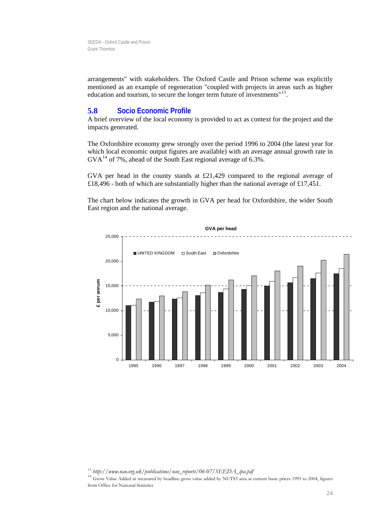arrangements" with stakeholders. The Oxford Castle and Prison scheme was explicitly mentioned as an example of regeneration "coupled with projects in areas such as higher education and tourism, to secure the longer term future of investments"<sup>[13](#page-24-0)</sup>.

#### **5.8 Socio Economic Profile**

A brief overview of the local economy is provided to act as context for the project and the impacts generated.

The Oxfordshire economy grew strongly over the period 1996 to 2004 (the latest year for which local economic output figures are available) with an average annual growth rate in  $GVA<sup>14</sup>$  $GVA<sup>14</sup>$  $GVA<sup>14</sup>$  of 7%, ahead of the South East regional average of 6.3%.

GVA per head in the county stands at £21,429 compared to the regional average of £18,496 - both of which are substantially higher than the national average of £17,451.

The chart below indicates the growth in GVA per head for Oxfordshire, the wider South East region and the national average.



<span id="page-24-1"></span><span id="page-24-0"></span>*13 http://www.nao.org.uk/publications/nao\_reports/06-07/SEEDA\_ipa.pdf 14* Gross Value Added as measured by headline gross value added by NUTS3 area at current basic prices 1995 to 2004, figures from Office for National Statistics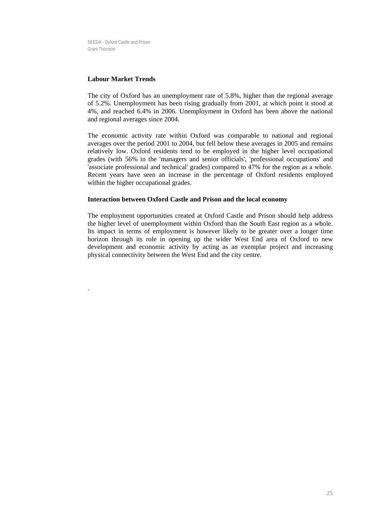#### **Labour Market Trends**

.

The city of Oxford has an unemployment rate of 5.8%, higher than the regional average of 5.2%. Unemployment has been rising gradually from 2001, at which point it stood at 4%, and reached 6.4% in 2006. Unemployment in Oxford has been above the national and regional averages since 2004.

The economic activity rate within Oxford was comparable to national and regional averages over the period 2001 to 2004, but fell below these averages in 2005 and remains relatively low. Oxford residents tend to be employed in the higher level occupational grades (with 56% in the 'managers and senior officials', 'professional occupations' and 'associate professional and technical' grades) compared to 47% for the region as a whole. Recent years have seen an increase in the percentage of Oxford residents employed within the higher occupational grades.

#### **Interaction between Oxford Castle and Prison and the local economy**

The employment opportunities created at Oxford Castle and Prison should help address the higher level of unemployment within Oxford than the South East region as a whole. Its impact in terms of employment is however likely to be greater over a longer time horizon through its role in opening up the wider West End area of Oxford to new development and economic activity by acting as an exemplar project and increasing physical connectivity between the West End and the city centre.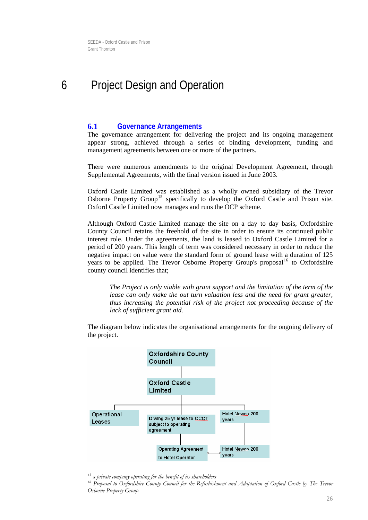## <span id="page-26-0"></span>6 Project Design and Operation

### **6.1 Governance Arrangements**

The governance arrangement for delivering the project and its ongoing management appear strong, achieved through a series of binding development, funding and management agreements between one or more of the partners.

There were numerous amendments to the original Development Agreement, through Supplemental Agreements, with the final version issued in June 2003.

Oxford Castle Limited was established as a wholly owned subsidiary of the Trevor Osborne Property Group<sup>[15](#page-26-1)</sup> specifically to develop the Oxford Castle and Prison site. Oxford Castle Limited now manages and runs the OCP scheme.

Although Oxford Castle Limited manage the site on a day to day basis, Oxfordshire County Council retains the freehold of the site in order to ensure its continued public interest role. Under the agreements, the land is leased to Oxford Castle Limited for a period of 200 years. This length of term was considered necessary in order to reduce the negative impact on value were the standard form of ground lease with a duration of 125 years to be applied. The Trevor Osborne Property Group's proposal<sup>[16](#page-26-2)</sup> to Oxfordshire county council identifies that;

*The Project is only viable with grant support and the limitation of the term of the lease can only make the out turn valuation less and the need for grant greater, thus increasing the potential risk of the project not proceeding because of the lack of sufficient grant aid.* 

The diagram below indicates the organisational arrangements for the ongoing delivery of the project.



<span id="page-26-2"></span><span id="page-26-1"></span><sup>&</sup>lt;sup>15</sup> a private company operating for the benefit of its shareholders<br><sup>16</sup> Proposal to Oxfordshire County Council for the Refurbishment and Adaptation of Oxford Castle by The Trevor *Osborne Property Group.*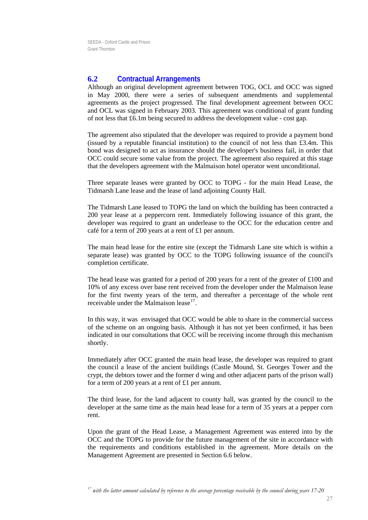## **6.2 Contractual Arrangements**

Although an original development agreement between TOG, OCL and OCC was signed in May 2000, there were a series of subsequent amendments and supplemental agreements as the project progressed. The final development agreement between OCC and OCL was signed in February 2003. This agreement was conditional of grant funding of not less that £6.1m being secured to address the development value - cost gap.

The agreement also stipulated that the developer was required to provide a payment bond (issued by a reputable financial institution) to the council of not less than  $\text{\pounds}3.4m$ . This bond was designed to act as insurance should the developer's business fail, in order that OCC could secure some value from the project. The agreement also required at this stage that the developers agreement with the Malmaison hotel operator went unconditional.

Three separate leases were granted by OCC to TOPG - for the main Head Lease, the Tidmarsh Lane lease and the lease of land adjoining County Hall.

The Tidmarsh Lane leased to TOPG the land on which the building has been contracted a 200 year lease at a peppercorn rent. Immediately following issuance of this grant, the developer was required to grant an underlease to the OCC for the education centre and café for a term of 200 years at a rent of £1 per annum.

The main head lease for the entire site (except the Tidmarsh Lane site which is within a separate lease) was granted by OCC to the TOPG following issuance of the council's completion certificate.

The head lease was granted for a period of 200 years for a rent of the greater of £100 and 10% of any excess over base rent received from the developer under the Malmaison lease for the first twenty years of the term, and thereafter a percentage of the whole rent receivable under the Malmaison lease  $17$ .

In this way, it was envisaged that OCC would be able to share in the commercial success of the scheme on an ongoing basis. Although it has not yet been confirmed, it has been indicated in our consultations that OCC will be receiving income through this mechanism shortly.

Immediately after OCC granted the main head lease, the developer was required to grant the council a lease of the ancient buildings (Castle Mound, St. Georges Tower and the crypt, the debtors tower and the former d wing and other adjacent parts of the prison wall) for a term of 200 years at a rent of £1 per annum.

The third lease, for the land adjacent to county hall, was granted by the council to the developer at the same time as the main head lease for a term of 35 years at a pepper corn rent.

<span id="page-27-0"></span>Upon the grant of the Head Lease, a Management Agreement was entered into by the OCC and the TOPG to provide for the future management of the site in accordance with the requirements and conditions established in the agreement. More details on the Management Agreement are presented in Section [6.6](#page-31-0) below.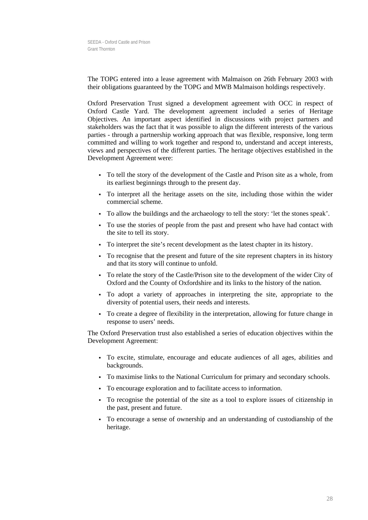The TOPG entered into a lease agreement with Malmaison on 26th February 2003 with their obligations guaranteed by the TOPG and MWB Malmaison holdings respectively.

Oxford Preservation Trust signed a development agreement with OCC in respect of Oxford Castle Yard. The development agreement included a series of Heritage Objectives. An important aspect identified in discussions with project partners and stakeholders was the fact that it was possible to align the different interests of the various parties - through a partnership working approach that was flexible, responsive, long term committed and willing to work together and respond to, understand and accept interests, views and perspectives of the different parties. The heritage objectives established in the Development Agreement were:

- To tell the story of the development of the Castle and Prison site as a whole, from its earliest beginnings through to the present day.
- To interpret all the heritage assets on the site, including those within the wider commercial scheme.
- To allow the buildings and the archaeology to tell the story: 'let the stones speak'.
- To use the stories of people from the past and present who have had contact with the site to tell its story.
- To interpret the site's recent development as the latest chapter in its history.
- To recognise that the present and future of the site represent chapters in its history and that its story will continue to unfold.
- To relate the story of the Castle/Prison site to the development of the wider City of Oxford and the County of Oxfordshire and its links to the history of the nation.
- To adopt a variety of approaches in interpreting the site, appropriate to the diversity of potential users, their needs and interests.
- To create a degree of flexibility in the interpretation, allowing for future change in response to users' needs.

The Oxford Preservation trust also established a series of education objectives within the Development Agreement:

- To excite, stimulate, encourage and educate audiences of all ages, abilities and backgrounds.
- To maximise links to the National Curriculum for primary and secondary schools.
- To encourage exploration and to facilitate access to information.
- To recognise the potential of the site as a tool to explore issues of citizenship in the past, present and future.
- To encourage a sense of ownership and an understanding of custodianship of the heritage.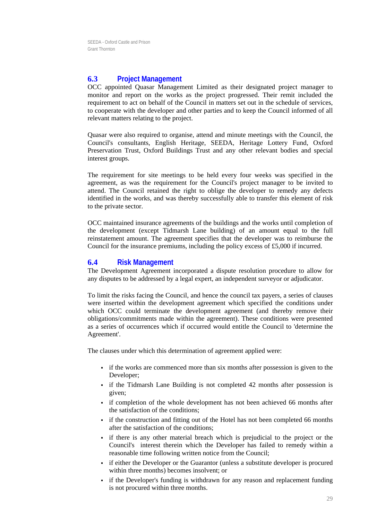## **6.3 Project Management**

OCC appointed Quasar Management Limited as their designated project manager to monitor and report on the works as the project progressed. Their remit included the requirement to act on behalf of the Council in matters set out in the schedule of services, to cooperate with the developer and other parties and to keep the Council informed of all relevant matters relating to the project.

Quasar were also required to organise, attend and minute meetings with the Council, the Council's consultants, English Heritage, SEEDA, Heritage Lottery Fund, Oxford Preservation Trust, Oxford Buildings Trust and any other relevant bodies and special interest groups.

The requirement for site meetings to be held every four weeks was specified in the agreement, as was the requirement for the Council's project manager to be invited to attend. The Council retained the right to oblige the developer to remedy any defects identified in the works, and was thereby successfully able to transfer this element of risk to the private sector.

OCC maintained insurance agreements of the buildings and the works until completion of the development (except Tidmarsh Lane building) of an amount equal to the full reinstatement amount. The agreement specifies that the developer was to reimburse the Council for the insurance premiums, including the policy excess of £5,000 if incurred.

### **6.4 Risk Management**

The Development Agreement incorporated a dispute resolution procedure to allow for any disputes to be addressed by a legal expert, an independent surveyor or adjudicator.

To limit the risks facing the Council, and hence the council tax payers, a series of clauses were inserted within the development agreement which specified the conditions under which OCC could terminate the development agreement (and thereby remove their obligations/commitments made within the agreement). These conditions were presented as a series of occurrences which if occurred would entitle the Council to 'determine the Agreement'.

The clauses under which this determination of agreement applied were:

- if the works are commenced more than six months after possession is given to the Developer;
- if the Tidmarsh Lane Building is not completed 42 months after possession is given;
- if completion of the whole development has not been achieved 66 months after the satisfaction of the conditions;
- if the construction and fitting out of the Hotel has not been completed 66 months after the satisfaction of the conditions;
- if there is any other material breach which is prejudicial to the project or the Council's interest therein which the Developer has failed to remedy within a reasonable time following written notice from the Council;
- if either the Developer or the Guarantor (unless a substitute developer is procured within three months) becomes insolvent; or
- if the Developer's funding is withdrawn for any reason and replacement funding is not procured within three months.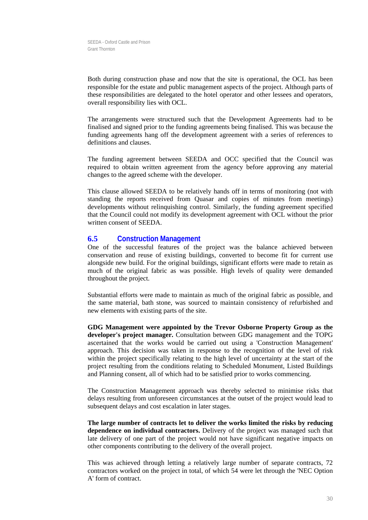Both during construction phase and now that the site is operational, the OCL has been responsible for the estate and public management aspects of the project. Although parts of these responsibilities are delegated to the hotel operator and other lessees and operators, overall responsibility lies with OCL.

The arrangements were structured such that the Development Agreements had to be finalised and signed prior to the funding agreements being finalised. This was because the funding agreements hang off the development agreement with a series of references to definitions and clauses.

The funding agreement between SEEDA and OCC specified that the Council was required to obtain written agreement from the agency before approving any material changes to the agreed scheme with the developer.

This clause allowed SEEDA to be relatively hands off in terms of monitoring (not with standing the reports received from Quasar and copies of minutes from meetings) developments without relinquishing control. Similarly, the funding agreement specified that the Council could not modify its development agreement with OCL without the prior written consent of SEEDA.

### **6.5 Construction Management**

One of the successful features of the project was the balance achieved between conservation and reuse of existing buildings, converted to become fit for current use alongside new build. For the original buildings, significant efforts were made to retain as much of the original fabric as was possible. High levels of quality were demanded throughout the project.

Substantial efforts were made to maintain as much of the original fabric as possible, and the same material, bath stone, was sourced to maintain consistency of refurbished and new elements with existing parts of the site.

**GDG Management were appointed by the Trevor Osborne Property Group as the developer's project manager.** Consultation between GDG management and the TOPG ascertained that the works would be carried out using a 'Construction Management' approach. This decision was taken in response to the recognition of the level of risk within the project specifically relating to the high level of uncertainty at the start of the project resulting from the conditions relating to Scheduled Monument, Listed Buildings and Planning consent, all of which had to be satisfied prior to works commencing.

The Construction Management approach was thereby selected to minimise risks that delays resulting from unforeseen circumstances at the outset of the project would lead to subsequent delays and cost escalation in later stages.

**The large number of contracts let to deliver the works limited the risks by reducing dependence on individual contractors.** Delivery of the project was managed such that late delivery of one part of the project would not have significant negative impacts on other components contributing to the delivery of the overall project.

This was achieved through letting a relatively large number of separate contracts, 72 contractors worked on the project in total, of which 54 were let through the 'NEC Option A' form of contract.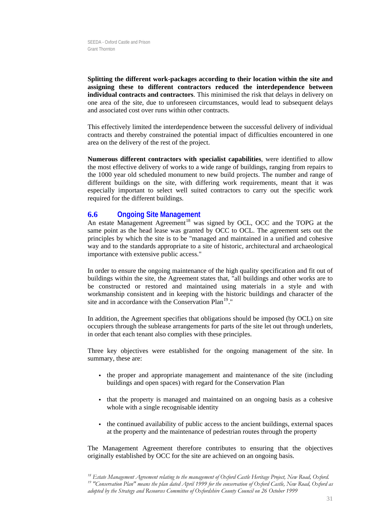**Splitting the different work-packages according to their location within the site and assigning these to different contractors reduced the interdependence between individual contracts and contractors**. This minimised the risk that delays in delivery on one area of the site, due to unforeseen circumstances, would lead to subsequent delays and associated cost over runs within other contracts.

This effectively limited the interdependence between the successful delivery of individual contracts and thereby constrained the potential impact of difficulties encountered in one area on the delivery of the rest of the project.

**Numerous different contractors with specialist capabilities**, were identified to allow the most effective delivery of works to a wide range of buildings, ranging from repairs to the 1000 year old scheduled monument to new build projects. The number and range of different buildings on the site, with differing work requirements, meant that it was especially important to select well suited contractors to carry out the specific work required for the different buildings.

### <span id="page-31-0"></span>**6.6 Ongoing Site Management**

An estate Management Agreement<sup>[18](#page-31-1)</sup> was signed by OCL, OCC and the TOPG at the same point as the head lease was granted by OCC to OCL. The agreement sets out the principles by which the site is to be "managed and maintained in a unified and cohesive way and to the standards appropriate to a site of historic, architectural and archaeological importance with extensive public access."

In order to ensure the ongoing maintenance of the high quality specification and fit out of buildings within the site, the Agreement states that, "all buildings and other works are to be constructed or restored and maintained using materials in a style and with workmanship consistent and in keeping with the historic buildings and character of the site and in accordance with the Conservation Plan<sup>[19](#page-31-2)</sup>."

In addition, the Agreement specifies that obligations should be imposed (by OCL) on site occupiers through the sublease arrangements for parts of the site let out through underlets, in order that each tenant also complies with these principles.

Three key objectives were established for the ongoing management of the site. In summary, these are:

- the proper and appropriate management and maintenance of the site (including buildings and open spaces) with regard for the Conservation Plan
- that the property is managed and maintained on an ongoing basis as a cohesive whole with a single recognisable identity
- the continued availability of public access to the ancient buildings, external spaces at the property and the maintenance of pedestrian routes through the property

The Management Agreement therefore contributes to ensuring that the objectives originally established by OCC for the site are achieved on an ongoing basis.

<span id="page-31-2"></span><span id="page-31-1"></span> $^{18}$  Estate Management Agreement relating to the management of Oxford Castle Heritage Project, New Road, Oxford.<br><sup>19</sup> "Conservation Plan" means the plan dated April 1999 for the conservation of Oxford Castle, New Road, *adopted by the Strategy and Resources Committee of Oxfordshire County Council on 26 October 1999*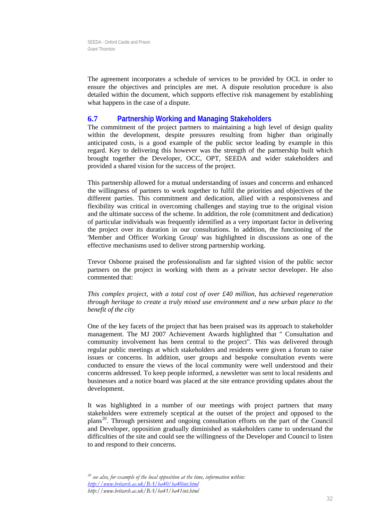The agreement incorporates a schedule of services to be provided by OCL in order to ensure the objectives and principles are met. A dispute resolution procedure is also detailed within the document, which supports effective risk management by establishing what happens in the case of a dispute.

### **6.7 Partnership Working and Managing Stakeholders**

The commitment of the project partners to maintaining a high level of design quality within the development, despite pressures resulting from higher than originally anticipated costs, is a good example of the public sector leading by example in this regard. Key to delivering this however was the strength of the partnership built which brought together the Developer, OCC, OPT, SEEDA and wider stakeholders and provided a shared vision for the success of the project.

This partnership allowed for a mutual understanding of issues and concerns and enhanced the willingness of partners to work together to fulfil the priorities and objectives of the different parties. This commitment and dedication, allied with a responsiveness and flexibility was critical in overcoming challenges and staying true to the original vision and the ultimate success of the scheme. In addition, the role (commitment and dedication) of particular individuals was frequently identified as a very important factor in delivering the project over its duration in our consultations. In addition, the functioning of the 'Member and Officer Working Group' was highlighted in discussions as one of the effective mechanisms used to deliver strong partnership working.

Trevor Osborne praised the professionalism and far sighted vision of the public sector partners on the project in working with them as a private sector developer. He also commented that:

*This complex project, with a total cost of over £40 million, has achieved regeneration through heritage to create a truly mixed use environment and a new urban place to the benefit of the city* 

One of the key facets of the project that has been praised was its approach to stakeholder management. The MJ 2007 Achievement Awards highlighted that " Consultation and community involvement has been central to the project". This was delivered through regular public meetings at which stakeholders and residents were given a forum to raise issues or concerns. In addition, user groups and bespoke consultation events were conducted to ensure the views of the local community were well understood and their concerns addressed. To keep people informed, a newsletter was sent to local residents and businesses and a notice board was placed at the site entrance providing updates about the development.

<span id="page-32-0"></span>It was highlighted in a number of our meetings with project partners that many stakeholders were extremely sceptical at the outset of the project and opposed to the plans<sup>[20](#page-32-0)</sup>. Through persistent and ongoing consultation efforts on the part of the Council and Developer, opposition gradually diminished as stakeholders came to understand the difficulties of the site and could see the willingness of the Developer and Council to listen to and respond to their concerns.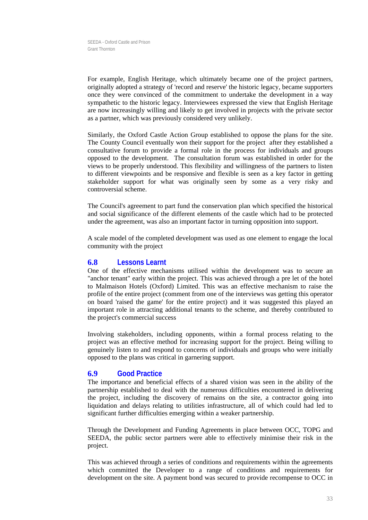For example, English Heritage, which ultimately became one of the project partners, originally adopted a strategy of 'record and reserve' the historic legacy, became supporters once they were convinced of the commitment to undertake the development in a way sympathetic to the historic legacy. Interviewees expressed the view that English Heritage are now increasingly willing and likely to get involved in projects with the private sector as a partner, which was previously considered very unlikely.

Similarly, the Oxford Castle Action Group established to oppose the plans for the site. The County Council eventually won their support for the project after they established a consultative forum to provide a formal role in the process for individuals and groups opposed to the development. The consultation forum was established in order for the views to be properly understood. This flexibility and willingness of the partners to listen to different viewpoints and be responsive and flexible is seen as a key factor in getting stakeholder support for what was originally seen by some as a very risky and controversial scheme.

The Council's agreement to part fund the conservation plan which specified the historical and social significance of the different elements of the castle which had to be protected under the agreement, was also an important factor in turning opposition into support.

A scale model of the completed development was used as one element to engage the local community with the project

#### **6.8 Lessons Learnt**

One of the effective mechanisms utilised within the development was to secure an "anchor tenant" early within the project. This was achieved through a pre let of the hotel to Malmaison Hotels (Oxford) Limited. This was an effective mechanism to raise the profile of the entire project (comment from one of the interviews was getting this operator on board 'raised the game' for the entire project) and it was suggested this played an important role in attracting additional tenants to the scheme, and thereby contributed to the project's commercial success

Involving stakeholders, including opponents, within a formal process relating to the project was an effective method for increasing support for the project. Being willing to genuinely listen to and respond to concerns of individuals and groups who were initially opposed to the plans was critical in garnering support.

## **6.9 Good Practice**

The importance and beneficial effects of a shared vision was seen in the ability of the partnership established to deal with the numerous difficulties encountered in delivering the project, including the discovery of remains on the site, a contractor going into liquidation and delays relating to utilities infrastructure, all of which could had led to significant further difficulties emerging within a weaker partnership.

Through the Development and Funding Agreements in place between OCC, TOPG and SEEDA, the public sector partners were able to effectively minimise their risk in the project.

This was achieved through a series of conditions and requirements within the agreements which committed the Developer to a range of conditions and requirements for development on the site. A payment bond was secured to provide recompense to OCC in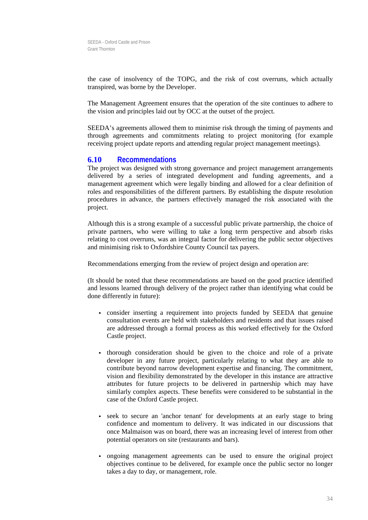the case of insolvency of the TOPG, and the risk of cost overruns, which actually transpired, was borne by the Developer.

The Management Agreement ensures that the operation of the site continues to adhere to the vision and principles laid out by OCC at the outset of the project.

SEEDA's agreements allowed them to minimise risk through the timing of payments and through agreements and commitments relating to project monitoring (for example receiving project update reports and attending regular project management meetings).

### **6.10 Recommendations**

The project was designed with strong governance and project management arrangements delivered by a series of integrated development and funding agreements, and a management agreement which were legally binding and allowed for a clear definition of roles and responsibilities of the different partners. By establishing the dispute resolution procedures in advance, the partners effectively managed the risk associated with the project.

Although this is a strong example of a successful public private partnership, the choice of private partners, who were willing to take a long term perspective and absorb risks relating to cost overruns, was an integral factor for delivering the public sector objectives and minimising risk to Oxfordshire County Council tax payers.

Recommendations emerging from the review of project design and operation are:

(It should be noted that these recommendations are based on the good practice identified and lessons learned through delivery of the project rather than identifying what could be done differently in future):

- consider inserting a requirement into projects funded by SEEDA that genuine consultation events are held with stakeholders and residents and that issues raised are addressed through a formal process as this worked effectively for the Oxford Castle project.
- thorough consideration should be given to the choice and role of a private developer in any future project, particularly relating to what they are able to contribute beyond narrow development expertise and financing. The commitment, vision and flexibility demonstrated by the developer in this instance are attractive attributes for future projects to be delivered in partnership which may have similarly complex aspects. These benefits were considered to be substantial in the case of the Oxford Castle project.
- seek to secure an 'anchor tenant' for developments at an early stage to bring confidence and momentum to delivery. It was indicated in our discussions that once Malmaison was on board, there was an increasing level of interest from other potential operators on site (restaurants and bars).
- ongoing management agreements can be used to ensure the original project objectives continue to be delivered, for example once the public sector no longer takes a day to day, or management, role.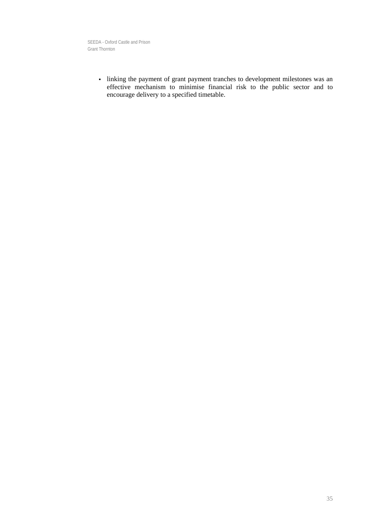> linking the payment of grant payment tranches to development milestones was an effective mechanism to minimise financial risk to the public sector and to encourage delivery to a specified timetable.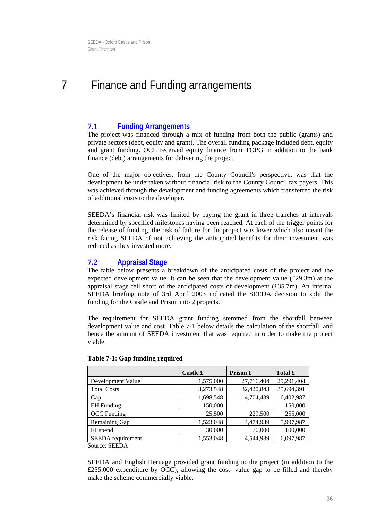## <span id="page-36-1"></span><span id="page-36-0"></span>7 Finance and Funding arrangements

## **7.1 Funding Arrangements**

The project was financed through a mix of funding from both the public (grants) and private sectors (debt, equity and grant). The overall funding package included debt, equity and grant funding. OCL received equity finance from TOPG in addition to the bank finance (debt) arrangements for delivering the project.

One of the major objectives, from the County Council's perspective, was that the development be undertaken without financial risk to the County Council tax payers. This was achieved through the development and funding agreements which transferred the risk of additional costs to the developer.

SEEDA's financial risk was limited by paying the grant in three tranches at intervals determined by specified milestones having been reached. At each of the trigger points for the release of funding, the risk of failure for the project was lower which also meant the risk facing SEEDA of not achieving the anticipated benefits for their investment was reduced as they invested more.

## **7.2 Appraisal Stage**

The table below presents a breakdown of the anticipated costs of the project and the expected development value. It can be seen that the development value  $(E29.3m)$  at the appraisal stage fell short of the anticipated costs of development (£35.7m). An internal SEEDA briefing note of 3rd April 2003 indicated the SEEDA decision to split the funding for the Castle and Prison into 2 projects.

The requirement for SEEDA grant funding stemmed from the shortfall between development value and cost. Table 7-1 below details the calculation of the shortfall, and hence the amount of SEEDA investment that was required in order to make the project viable.

|                    | Castle £  | Prison £   | Total £    |
|--------------------|-----------|------------|------------|
| Development Value  | 1,575,000 | 27,716,404 | 29,291,404 |
| <b>Total Costs</b> | 3,273,548 | 32,420,843 | 35,694,391 |
| Gap                | 1,698,548 | 4,704,439  | 6,402,987  |
| <b>EH</b> Funding  | 150,000   |            | 150,000    |
| <b>OCC</b> Funding | 25,500    | 229,500    | 255,000    |
| Remaining Gap      | 1,523,048 | 4,474,939  | 5,997,987  |
| F1 spend           | 30,000    | 70,000     | 100,000    |
| SEEDA requirement  | 1,553,048 | 4,544,939  | 6,097,987  |

#### **Table 7-1: Gap funding required**

Source: SEEDA

SEEDA and English Heritage provided grant funding to the project (in addition to the £255,000 expenditure by OCC), allowing the cost- value gap to be filled and thereby make the scheme commercially viable.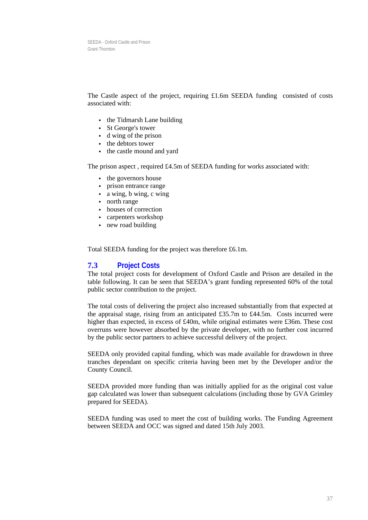The Castle aspect of the project, requiring £1.6m SEEDA funding consisted of costs associated with:

- the Tidmarsh Lane building
- St George's tower
- d wing of the prison
- the debtors tower
- the castle mound and yard

The prison aspect , required £4.5m of SEEDA funding for works associated with:

- the governors house
- prison entrance range
- a wing, b wing, c wing
- north range
- houses of correction
- carpenters workshop
- new road building

Total SEEDA funding for the project was therefore £6.1m.

#### **7.3 Project Costs**

The total project costs for development of Oxford Castle and Prison are detailed in the table following. It can be seen that SEEDA's grant funding represented 60% of the total public sector contribution to the project.

The total costs of delivering the project also increased substantially from that expected at the appraisal stage, rising from an anticipated £35.7m to £44.5m. Costs incurred were higher than expected, in excess of £40m, while original estimates were £36m. These cost overruns were however absorbed by the private developer, with no further cost incurred by the public sector partners to achieve successful delivery of the project.

SEEDA only provided capital funding, which was made available for drawdown in three tranches dependant on specific criteria having been met by the Developer and/or the County Council.

SEEDA provided more funding than was initially applied for as the original cost value gap calculated was lower than subsequent calculations (including those by GVA Grimley prepared for SEEDA).

SEEDA funding was used to meet the cost of building works. The Funding Agreement between SEEDA and OCC was signed and dated 15th July 2003.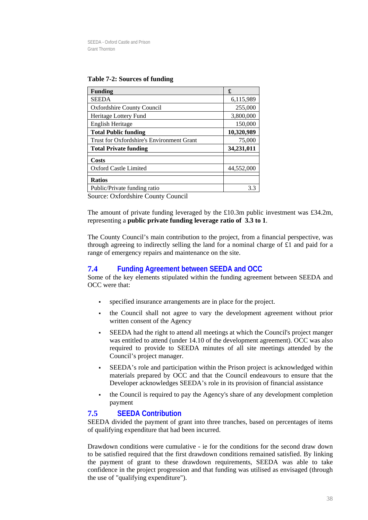#### **Table 7-2: Sources of funding**

| <b>Funding</b>                            | £          |
|-------------------------------------------|------------|
| <b>SEEDA</b>                              | 6,115,989  |
| <b>Oxfordshire County Council</b>         | 255,000    |
| Heritage Lottery Fund                     | 3,800,000  |
| <b>English Heritage</b>                   | 150,000    |
| <b>Total Public funding</b>               | 10,320,989 |
| Trust for Oxfordshire's Environment Grant | 75,000     |
| <b>Total Private funding</b>              | 34,231,011 |
| Costs                                     |            |
| <b>Oxford Castle Limited</b>              | 44,552,000 |
| <b>Ratios</b>                             |            |
| Public/Private funding ratio              | 33         |

Source: Oxfordshire County Council

The amount of private funding leveraged by the £10.3m public investment was £34.2m, representing a **public private funding leverage ratio of 3.3 to 1**.

The County Council's main contribution to the project, from a financial perspective, was through agreeing to indirectly selling the land for a nominal charge of £1 and paid for a range of emergency repairs and maintenance on the site.

## **7.4 Funding Agreement between SEEDA and OCC**

Some of the key elements stipulated within the funding agreement between SEEDA and OCC were that:

- specified insurance arrangements are in place for the project.
- the Council shall not agree to vary the development agreement without prior written consent of the Agency
- SEEDA had the right to attend all meetings at which the Council's project manger was entitled to attend (under 14.10 of the development agreement). OCC was also required to provide to SEEDA minutes of all site meetings attended by the Council's project manager.
- SEEDA's role and participation within the Prison project is acknowledged within materials prepared by OCC and that the Council endeavours to ensure that the Developer acknowledges SEEDA's role in its provision of financial assistance
- the Council is required to pay the Agency's share of any development completion payment

## **7.5 SEEDA Contribution**

SEEDA divided the payment of grant into three tranches, based on percentages of items of qualifying expenditure that had been incurred.

Drawdown conditions were cumulative - ie for the conditions for the second draw down to be satisfied required that the first drawdown conditions remained satisfied. By linking the payment of grant to these drawdown requirements, SEEDA was able to take confidence in the project progression and that funding was utilised as envisaged (through the use of "qualifying expenditure").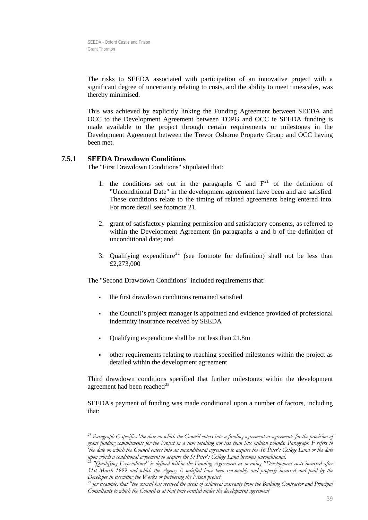The risks to SEEDA associated with participation of an innovative project with a significant degree of uncertainty relating to costs, and the ability to meet timescales, was thereby minimised.

This was achieved by explicitly linking the Funding Agreement between SEEDA and OCC to the Development Agreement between TOPG and OCC ie SEEDA funding is made available to the project through certain requirements or milestones in the Development Agreement between the Trevor Osborne Property Group and OCC having been met.

#### **7.5.1 SEEDA Drawdown Conditions**

The "First Drawdown Conditions" stipulated that:

- 1. the conditions set out in the paragraphs C and  $F<sup>21</sup>$  $F<sup>21</sup>$  $F<sup>21</sup>$  of the definition of "Unconditional Date" in the development agreement have been and are satisfied. These conditions relate to the timing of related agreements being entered into. For more detail see footnote 21.
- 2. grant of satisfactory planning permission and satisfactory consents, as referred to within the Development Agreement (in paragraphs a and b of the definition of unconditional date; and
- 3. Qualifying expenditure<sup>[22](#page-39-1)</sup> (see footnote for definition) shall not be less than £2,273,000

The "Second Drawdown Conditions" included requirements that:

- the first drawdown conditions remained satisfied
- the Council's project manager is appointed and evidence provided of professional indemnity insurance received by SEEDA
- Qualifying expenditure shall be not less than £1.8m
- other requirements relating to reaching specified milestones within the project as detailed within the development agreement

Third drawdown conditions specified that further milestones within the development agreement had been reached $^{23}$  $^{23}$  $^{23}$ 

SEEDA's payment of funding was made conditional upon a number of factors, including that:

<span id="page-39-0"></span>*<sup>21</sup> Paragraph C specifies 'the date on which the Council enters into a funding agreement or agreements for the provision of grant funding commitments for the Project in a sum totalling not less than Six million pounds. Paragraph F refers to 'the date on which the Council enters into an unconditional agreement to acquire the St. Peter's College Land or the date upon which a conditional agreement to acquire the St Peter's College Land becomes unconditional. 22 "Qualifying Expenditure" is defined within the Funding Agreement as meaning "Development costs incurred after* 

<span id="page-39-1"></span>*<sup>31</sup>st March 1999 and which the Agency is satisfied have been reasonably and properly incurred and paid by the Developer in executing the Works or furthering the Prison project* 

<span id="page-39-2"></span>*<sup>23</sup> for example, that "the council has received the deeds of collateral warranty from the Building Contractor and Principal Consultants to which the Council is at that time entitled under the development agreement*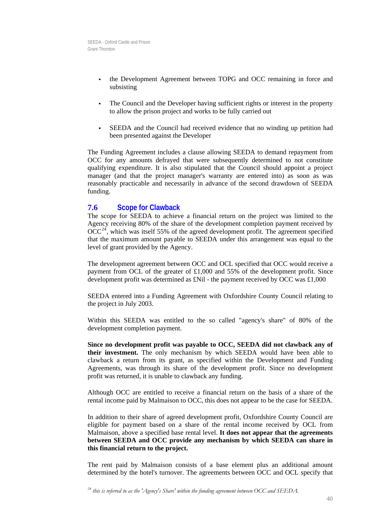- the Development Agreement between TOPG and OCC remaining in force and subsisting
- The Council and the Developer having sufficient rights or interest in the property to allow the prison project and works to be fully carried out
- SEEDA and the Council had received evidence that no winding up petition had been presented against the Developer

The Funding Agreement includes a clause allowing SEEDA to demand repayment from OCC for any amounts defrayed that were subsequently determined to not constitute qualifying expenditure. It is also stipulated that the Council should appoint a project manager (and that the project manager's warranty are entered into) as soon as was reasonably practicable and necessarily in advance of the second drawdown of SEEDA funding.

### **7.6 Scope for Clawback**

The scope for SEEDA to achieve a financial return on the project was limited to the Agency receiving 80% of the share of the development completion payment received by  $OCC<sup>24</sup>$  $OCC<sup>24</sup>$  $OCC<sup>24</sup>$ , which was itself 55% of the agreed development profit. The agreement specified that the maximum amount payable to SEEDA under this arrangement was equal to the level of grant provided by the Agency.

The development agreement between OCC and OCL specified that OCC would receive a payment from OCL of the greater of £1,000 and 55% of the development profit. Since development profit was determined as £Nil - the payment received by OCC was £1,000

SEEDA entered into a Funding Agreement with Oxfordshire County Council relating to the project in July 2003.

Within this SEEDA was entitled to the so called "agency's share" of 80% of the development completion payment.

**Since no development profit was payable to OCC, SEEDA did not clawback any of their investment.** The only mechanism by which SEEDA would have been able to clawback a return from its grant, as specified within the Development and Funding Agreements, was through its share of the development profit. Since no development profit was returned, it is unable to clawback any funding.

Although OCC are entitled to receive a financial return on the basis of a share of the rental income paid by Malmaison to OCC, this does not appear to be the case for SEEDA.

In addition to their share of agreed development profit, Oxfordshire County Council are eligible for payment based on a share of the rental income received by OCL from Malmaison, above a specified base rental level. **It does not appear that the agreements between SEEDA and OCC provide any mechanism by which SEEDA can share in this financial return to the project.** 

The rent paid by Malmaison consists of a base element plus an additional amount determined by the hotel's turnover. The agreements between OCC and OCL specify that

<span id="page-40-0"></span>*<sup>24</sup> this is referred to as the 'Agency's Share' within the funding agreement between OCC and SEEDA.*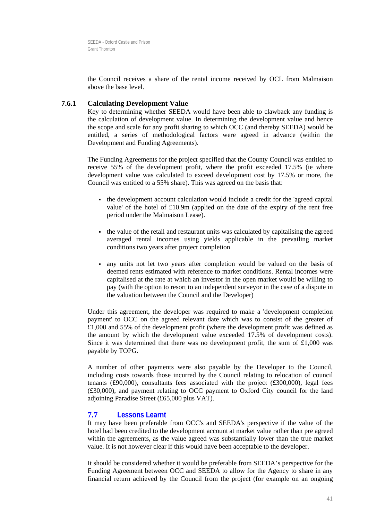the Council receives a share of the rental income received by OCL from Malmaison above the base level.

#### **7.6.1 Calculating Development Value**

Key to determining whether SEEDA would have been able to clawback any funding is the calculation of development value. In determining the development value and hence the scope and scale for any profit sharing to which OCC (and thereby SEEDA) would be entitled, a series of methodological factors were agreed in advance (within the Development and Funding Agreements).

The Funding Agreements for the project specified that the County Council was entitled to receive 55% of the development profit, where the profit exceeded 17.5% (ie where development value was calculated to exceed development cost by 17.5% or more, the Council was entitled to a 55% share). This was agreed on the basis that:

- the development account calculation would include a credit for the 'agreed capital value' of the hotel of £10.9m (applied on the date of the expiry of the rent free period under the Malmaison Lease).
- the value of the retail and restaurant units was calculated by capitalising the agreed averaged rental incomes using yields applicable in the prevailing market conditions two years after project completion
- any units not let two years after completion would be valued on the basis of deemed rents estimated with reference to market conditions. Rental incomes were capitalised at the rate at which an investor in the open market would be willing to pay (with the option to resort to an independent surveyor in the case of a dispute in the valuation between the Council and the Developer)

Under this agreement, the developer was required to make a 'development completion payment' to OCC on the agreed relevant date which was to consist of the greater of £1,000 and 55% of the development profit (where the development profit was defined as the amount by which the development value exceeded 17.5% of development costs). Since it was determined that there was no development profit, the sum of  $\pounds1,000$  was payable by TOPG.

A number of other payments were also payable by the Developer to the Council, including costs towards those incurred by the Council relating to relocation of council tenants  $(F90,000)$ , consultants fees associated with the project  $(F300,000)$ , legal fees (£30,000), and payment relating to OCC payment to Oxford City council for the land adjoining Paradise Street (£65,000 plus VAT).

## **7.7 Lessons Learnt**

It may have been preferable from OCC's and SEEDA's perspective if the value of the hotel had been credited to the development account at market value rather than pre agreed within the agreements, as the value agreed was substantially lower than the true market value. It is not however clear if this would have been acceptable to the developer.

It should be considered whether it would be preferable from SEEDA's perspective for the Funding Agreement between OCC and SEEDA to allow for the Agency to share in any financial return achieved by the Council from the project (for example on an ongoing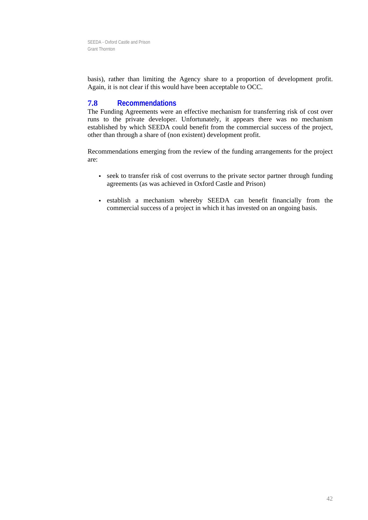basis), rather than limiting the Agency share to a proportion of development profit. Again, it is not clear if this would have been acceptable to OCC.

## **7.8 Recommendations**

The Funding Agreements were an effective mechanism for transferring risk of cost over runs to the private developer. Unfortunately, it appears there was no mechanism established by which SEEDA could benefit from the commercial success of the project, other than through a share of (non existent) development profit.

Recommendations emerging from the review of the funding arrangements for the project are:

- seek to transfer risk of cost overruns to the private sector partner through funding agreements (as was achieved in Oxford Castle and Prison)
- establish a mechanism whereby SEEDA can benefit financially from the commercial success of a project in which it has invested on an ongoing basis.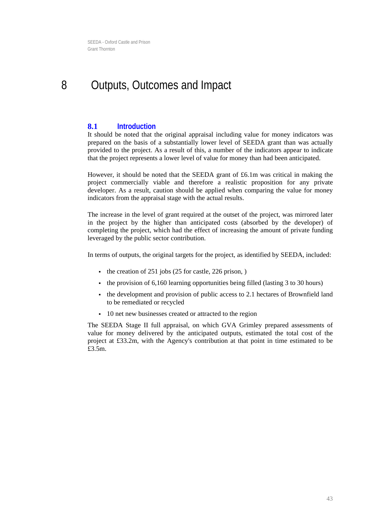## <span id="page-43-0"></span>8 Outputs, Outcomes and Impact

### **8.1 Introduction**

It should be noted that the original appraisal including value for money indicators was prepared on the basis of a substantially lower level of SEEDA grant than was actually provided to the project. As a result of this, a number of the indicators appear to indicate that the project represents a lower level of value for money than had been anticipated.

However, it should be noted that the SEEDA grant of £6.1m was critical in making the project commercially viable and therefore a realistic proposition for any private developer. As a result, caution should be applied when comparing the value for money indicators from the appraisal stage with the actual results.

The increase in the level of grant required at the outset of the project, was mirrored later in the project by the higher than anticipated costs (absorbed by the developer) of completing the project, which had the effect of increasing the amount of private funding leveraged by the public sector contribution.

In terms of outputs, the original targets for the project, as identified by SEEDA, included:

- $\cdot$  the creation of 251 jobs (25 for castle, 226 prison, )
- the provision of 6,160 learning opportunities being filled (lasting 3 to 30 hours)
- the development and provision of public access to 2.1 hectares of Brownfield land to be remediated or recycled
- 10 net new businesses created or attracted to the region

The SEEDA Stage II full appraisal, on which GVA Grimley prepared assessments of value for money delivered by the anticipated outputs, estimated the total cost of the project at £33.2m, with the Agency's contribution at that point in time estimated to be £3.5m.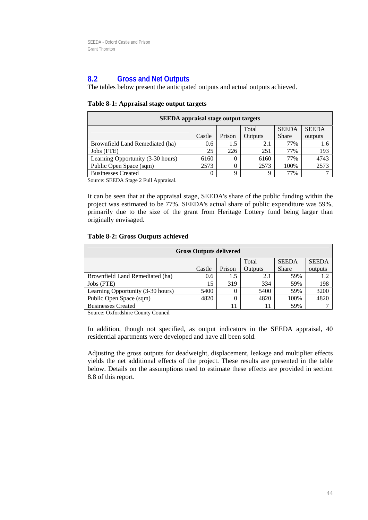## **8.2 Gross and Net Outputs**

The tables below present the anticipated outputs and actual outputs achieved.

| <b>SEEDA</b> appraisal stage output targets |        |        |         |              |         |  |
|---------------------------------------------|--------|--------|---------|--------------|---------|--|
| <b>SEEDA</b><br><b>SEEDA</b><br>Total       |        |        |         |              |         |  |
|                                             | Castle | Prison | Outputs | <b>Share</b> | outputs |  |
| Brownfield Land Remediated (ha)             | 0.6    | 1.5    | 2.1     | 77%          | 1.6     |  |
| Jobs (FTE)                                  | 25     | 226    | 251     | 77%          | 193     |  |
| Learning Opportunity (3-30 hours)           | 6160   |        | 6160    | 77%          | 4743    |  |
| Public Open Space (sqm)                     | 2573   |        | 2573    | 100%         | 2573    |  |
| <b>Businesses Created</b>                   | 0      | Ω      | 9       | 77%          |         |  |

Source: SEEDA Stage 2 Full Appraisal.

It can be seen that at the appraisal stage, SEEDA's share of the public funding within the project was estimated to be 77%. SEEDA's actual share of public expenditure was 59%, primarily due to the size of the grant from Heritage Lottery fund being larger than originally envisaged.

#### **Table 8-2: Gross Outputs achieved**

| <b>Gross Outputs delivered</b> |        |         |              |              |  |
|--------------------------------|--------|---------|--------------|--------------|--|
|                                |        | Total   | <b>SEEDA</b> | <b>SEEDA</b> |  |
| Castle                         | Prison | Outputs | <b>Share</b> | outputs      |  |
| 0.6                            | 1.5    | 2.1     | 59%          | 1.2          |  |
| 15                             | 319    | 334     | 59%          | 198          |  |
| 5400                           |        | 5400    | 59%          | 3200         |  |
| 4820                           |        | 4820    | 100%         | 4820         |  |
|                                |        |         | 59%          |              |  |
|                                |        |         |              |              |  |

Source: Oxfordshire County Council

In addition, though not specified, as output indicators in the SEEDA appraisal, 40 residential apartments were developed and have all been sold.

Adjusting the gross outputs for deadweight, displacement, leakage and multiplier effects yields the net additional effects of the project. These results are presented in the table below. Details on the assumptions used to estimate these effects are provided in section [8.8](#page-49-0) of this report.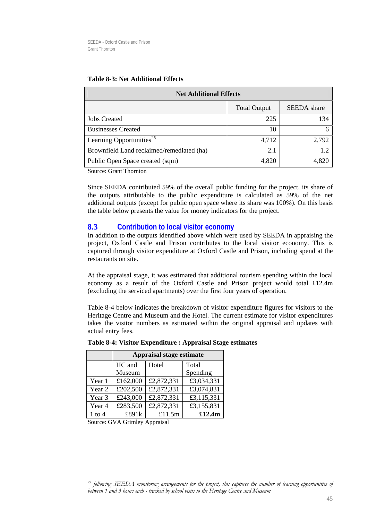| <b>Net Additional Effects</b>             |                     |                    |  |
|-------------------------------------------|---------------------|--------------------|--|
|                                           | <b>Total Output</b> | <b>SEEDA</b> share |  |
| <b>Jobs Created</b>                       | 225                 | 134                |  |
| <b>Businesses Created</b>                 | 10                  |                    |  |
| Learning Opportunities <sup>25</sup>      | 4,712               | 2,792              |  |
| Brownfield Land reclaimed/remediated (ha) | 2.1                 | 1.2                |  |
| Public Open Space created (sqm)           | 4,820               | 4.820              |  |

#### **Table 8-3: Net Additional Effects**

Source: Grant Thornton

Since SEEDA contributed 59% of the overall public funding for the project, its share of the outputs attributable to the public expenditure is calculated as 59% of the net additional outputs (except for public open space where its share was 100%). On this basis the table below presents the value for money indicators for the project.

## **8.3 Contribution to local visitor economy**

In addition to the outputs identified above which were used by SEEDA in appraising the project, Oxford Castle and Prison contributes to the local visitor economy. This is captured through visitor expenditure at Oxford Castle and Prison, including spend at the restaurants on site.

At the appraisal stage, it was estimated that additional tourism spending within the local economy as a result of the Oxford Castle and Prison project would total £12.4m (excluding the serviced apartments) over the first four years of operation.

Table 8-4 below indicates the breakdown of visitor expenditure figures for visitors to the Heritage Centre and Museum and the Hotel. The current estimate for visitor expenditures takes the visitor numbers as estimated within the original appraisal and updates with actual entry fees.

|            | <b>Appraisal stage estimate</b> |            |            |  |
|------------|---------------------------------|------------|------------|--|
|            | HC and                          | Hotel      | Total      |  |
|            | Museum                          |            | Spending   |  |
| Year 1     | £162,000                        | £2,872,331 | £3,034,331 |  |
| Year 2     | £202,500                        | £2,872,331 | £3,074,831 |  |
| Year 3     | £243,000                        | £2,872,331 | £3,115,331 |  |
| Year 4     | £283,500                        | £2,872,331 | £3,155,831 |  |
| $1$ to $4$ | £891k                           | £11.5m     | £12.4m     |  |

#### **Table 8-4: Visitor Expenditure : Appraisal Stage estimates**

Source: GVA Grimley Appraisal

<span id="page-45-0"></span>*25 following SEEDA monitoring arrangements for the project, this captures the number of learning opportunities of between 1 and 3 hours each - tracked by school visits to the Heritage Centre and Museum*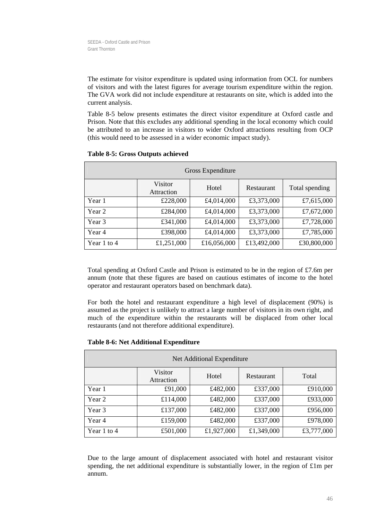The estimate for visitor expenditure is updated using information from OCL for numbers of visitors and with the latest figures for average tourism expenditure within the region. The GVA work did not include expenditure at restaurants on site, which is added into the current analysis.

Table 8-5 below presents estimates the direct visitor expenditure at Oxford castle and Prison. Note that this excludes any additional spending in the local economy which could be attributed to an increase in visitors to wider Oxford attractions resulting from OCP (this would need to be assessed in a wider economic impact study).

| Gross Expenditure |                       |             |             |                |
|-------------------|-----------------------|-------------|-------------|----------------|
|                   | Visitor<br>Attraction | Hotel       | Restaurant  | Total spending |
| Year 1            | £228,000              | £4,014,000  | £3,373,000  | £7,615,000     |
| Year 2            | £284,000              | £4,014,000  | £3,373,000  | £7,672,000     |
| Year 3            | £341,000              | £4,014,000  | £3,373,000  | £7,728,000     |
| Year 4            | £398,000              | £4,014,000  | £3,373,000  | £7,785,000     |
| Year 1 to 4       | £1,251,000            | £16,056,000 | £13,492,000 | £30,800,000    |

#### **Table 8-5: Gross Outputs achieved**

Total spending at Oxford Castle and Prison is estimated to be in the region of £7.6m per annum (note that these figures are based on cautious estimates of income to the hotel operator and restaurant operators based on benchmark data).

For both the hotel and restaurant expenditure a high level of displacement (90%) is assumed as the project is unlikely to attract a large number of visitors in its own right, and much of the expenditure within the restaurants will be displaced from other local restaurants (and not therefore additional expenditure).

| Net Additional Expenditure |                       |            |            |            |
|----------------------------|-----------------------|------------|------------|------------|
|                            | Visitor<br>Attraction | Hotel      | Restaurant | Total      |
| Year 1                     | £91,000               | £482,000   | £337,000   | £910,000   |
| Year 2                     | £114,000              | £482,000   | £337,000   | £933,000   |
| Year 3                     | £137,000              | £482,000   | £337,000   | £956,000   |
| Year 4                     | £159,000              | £482,000   | £337,000   | £978,000   |
| Year 1 to 4                | £501,000              | £1,927,000 | £1,349,000 | £3,777,000 |

#### **Table 8-6: Net Additional Expenditure**

Due to the large amount of displacement associated with hotel and restaurant visitor spending, the net additional expenditure is substantially lower, in the region of  $\pounds$ 1m per annum.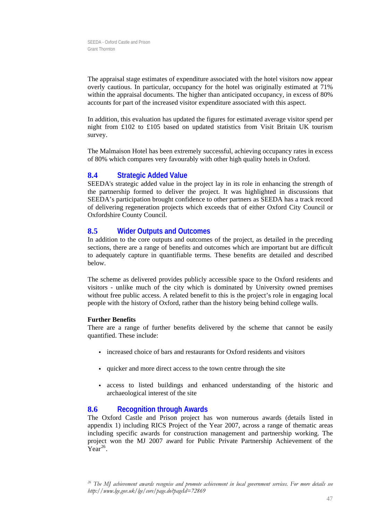The appraisal stage estimates of expenditure associated with the hotel visitors now appear overly cautious. In particular, occupancy for the hotel was originally estimated at 71% within the appraisal documents. The higher than anticipated occupancy, in excess of 80% accounts for part of the increased visitor expenditure associated with this aspect.

In addition, this evaluation has updated the figures for estimated average visitor spend per night from £102 to £105 based on updated statistics from Visit Britain UK tourism survey.

The Malmaison Hotel has been extremely successful, achieving occupancy rates in excess of 80% which compares very favourably with other high quality hotels in Oxford.

## **8.4 Strategic Added Value**

SEEDA's strategic added value in the project lay in its role in enhancing the strength of the partnership formed to deliver the project. It was highlighted in discussions that SEEDA's participation brought confidence to other partners as SEEDA has a track record of delivering regeneration projects which exceeds that of either Oxford City Council or Oxfordshire County Council.

## **8.5 Wider Outputs and Outcomes**

In addition to the core outputs and outcomes of the project, as detailed in the preceding sections, there are a range of benefits and outcomes which are important but are difficult to adequately capture in quantifiable terms. These benefits are detailed and described below.

The scheme as delivered provides publicly accessible space to the Oxford residents and visitors - unlike much of the city which is dominated by University owned premises without free public access. A related benefit to this is the project's role in engaging local people with the history of Oxford, rather than the history being behind college walls.

#### **Further Benefits**

There are a range of further benefits delivered by the scheme that cannot be easily quantified. These include:

- increased choice of bars and restaurants for Oxford residents and visitors
- quicker and more direct access to the town centre through the site
- access to listed buildings and enhanced understanding of the historic and archaeological interest of the site

## **8.6 Recognition through Awards**

 $Year^{26}$ . The Oxford Castle and Prison project has won numerous awards (details listed in appendix 1) including RICS Project of the Year 2007, across a range of thematic areas including specific awards for construction management and partnership working. The project won the MJ 2007 award for Public Private Partnership Achievement of the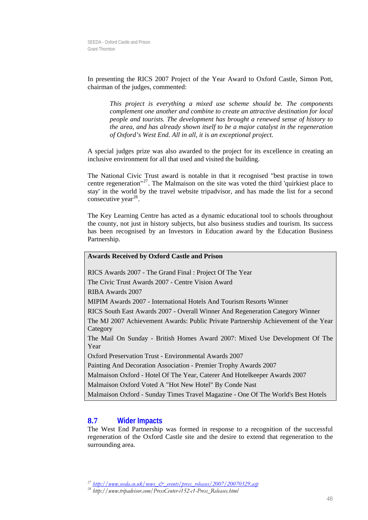In prese nting the RICS 2007 Project of the Year Award to Oxford Castle, Simon Pott, chairma n of the judges, commented:

complement one another and combine to create an attractive destination for local *people and tourists. The development has brought a renewed sense of history to ect. of Oxford's West End. All in all, it is an exceptional proj This project is everything a mixed use scheme should be. The components the area, and has already shown itself to be a major catalyst in the regeneration* 

A special judges prize was also awarded to the project for its excellence in creating an inclusive environment for all that used and visited the building.

The National Civic Trust award is notable in that it recognised "best practise in town centre regeneration"27. The Malmaison on the site was voted the third 'quirkiest place to stay' in the world by the travel website tripadvisor, and has made the list for a second consecutive year<sup>28</sup>.

The Key Learning Centre has acted as a dynamic educational tool to schools throughout the county, not just in history subjects, but also business studies and tourism. Its success has been recognised by an Investors in Education award by the Education Business Partnership.

#### **Awards Received by Oxford Castle and Prison**

RICS Awards 2007 - The Grand Final : Project Of The Year

The Civic Trust Awards 2007 - Centre Vision Award

RIBA Awards 2007

MIPIM Awards 2007 - International Hotels And Tourism Resorts Winner

RICS South East Awards 2007 - Overall Winner And Regeneration Category Winner

The MJ 2007 Achievement Awards: Public Private Partnership Achievement of the Year Category

The Mail On Sunday - British Homes Award 2007: Mixed Use Development Of The Year

Oxford Preservation Trust - Environmental Awards 2007

Painting And Decoration Association - Premier Trophy Awards 2007

Malmaison Oxford - Hotel Of The Year, Caterer And Hotelkeeper Awards 2007

Malmaison Oxford Voted A "Hot New Hotel" By Conde Nast

Malmaison Oxford - Sunday Times Travel Magazine - One Of The World's Best Hotels

## **8.7 Wider Impacts**

The West End Partnership was formed in response to a recognition of the successful regeneration of the Oxford Castle site and the desire to extend that regeneration to the surrounding area.

*<sup>27</sup> [http://www.seeda.co.uk/news\\_&\\_events/press\\_releases/2007/20070329.asp](http://www.seeda.co.uk/news_&_events/press_releases/2007/20070329.asp)*

*<sup>28</sup> http://www.tripadvisor.com/PressCenter-i152-c1-Press\_Releases.html*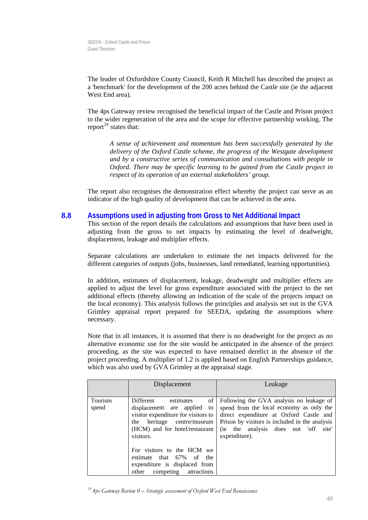The leader of Oxfordshire County Council, Keith R Mitchell has described the project as a 'benchmark' for the development of the 200 acres behind the Castle site (ie the adjacent West End area).

The 4ps Gateway review recognised the beneficial impact of the Castle and Prison project to the w ider regeneration of the area and the scope for effective partnership working. The report<sup>29</sup> states that:

A sense of achievement and momentum has been successfully generated by the *delivery of the Oxford Castle scheme, the progress of the Westgate development*  Oxford. There may be specific learning to be gained from the Castle project in *respect of its operation of an external stakeholders' group. and by a constructive series of communication and consultations with people in* 

The report also recognises the demonstration effect whereby the project can serve as an indicator of the high quality of development that can be achieved in the area.

#### <span id="page-49-0"></span>**8.8 Assumptions used in adjusting from Gross to Net Additional Impact**

displacement, leakage and multiplier effects. This section of the report details the calculations and assumptions that have been used in adjusting from the gross to net impacts by estimating the level of deadweight,

Separate calculations are undertaken to estimate the net impacts delivered for the different categories of outputs (jobs, businesses, land remediated, learning opportunities).

applied to adjust the level for gross expenditure associated with the project to the net additional effects (thereby allowing an indication of the scale of the projects impact on In addition, estimates of displacement, leakage, deadweight and multiplier effects are the local economy). This analysis follows the principles and analysis set out in the GVA Grimley appraisal report prepared for SEEDA, updating the assumptions where necessary.

Note that in all instances, it is assumed that there is no deadweight for the project as no alternative economic use for the site would be anticipated in the absence of the project proceeding, as the site was expected to have remained derelict in the absence of the project proceeding. A multiplier of 1.2 is applied based on English Partnerships guidance, which was also used by GVA Grimley at the appraisal stage.

|                  | Displacement                                                                                                                                                                                                                                                                                                             | Leakage                                                                                                                                                                                                                                       |
|------------------|--------------------------------------------------------------------------------------------------------------------------------------------------------------------------------------------------------------------------------------------------------------------------------------------------------------------------|-----------------------------------------------------------------------------------------------------------------------------------------------------------------------------------------------------------------------------------------------|
| Tourism<br>spend | of 1<br><b>Different</b><br>estimates<br>displacement are applied to<br>visitor expenditure for visitors to<br>heritage centre/museum<br>the<br>(HCM) and for hotel/restaurant<br>visitors.<br>For visitors to the HCM we<br>estimate that 67% of the<br>expenditure is displaced from<br>competing attractions<br>other | Following the GVA analysis no leakage of<br>spend from the local economy as only the<br>direct expenditure at Oxford Castle and<br>Prison by visitors is included in the analysis<br>(ie the analysis does not 'off<br>site'<br>expenditure). |

*29 4ps Gateway Review 0 – Strategic assessment of Oxford West End Renaissance*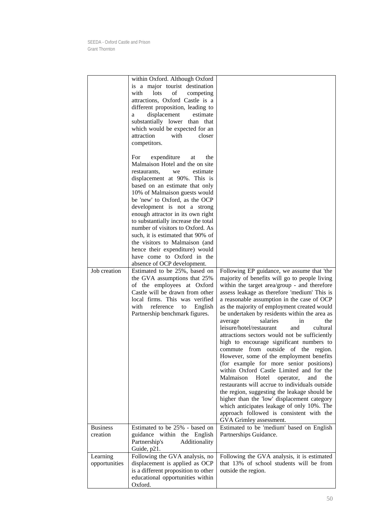|                             | within Oxford. Although Oxford<br>is a major tourist destination<br>with<br>lots<br>of<br>competing<br>attractions, Oxford Castle is a<br>different proposition, leading to<br>estimate<br>displacement<br>a<br>substantially lower than that<br>which would be expected for an<br>attraction<br>with<br>closer<br>competitors.<br>expenditure<br>the<br>For<br>at<br>Malmaison Hotel and the on site<br>estimate<br>restaurants,<br>we<br>displacement at 90%. This is<br>based on an estimate that only<br>10% of Malmaison guests would<br>be 'new' to Oxford, as the OCP<br>development is not a strong<br>enough attractor in its own right |                                                                                                                                                                                                                                                                                                                                                                                                                                                                                                                                                                                                                                                                                                                                                                                                                                                                                                                                                                                                                            |
|-----------------------------|--------------------------------------------------------------------------------------------------------------------------------------------------------------------------------------------------------------------------------------------------------------------------------------------------------------------------------------------------------------------------------------------------------------------------------------------------------------------------------------------------------------------------------------------------------------------------------------------------------------------------------------------------|----------------------------------------------------------------------------------------------------------------------------------------------------------------------------------------------------------------------------------------------------------------------------------------------------------------------------------------------------------------------------------------------------------------------------------------------------------------------------------------------------------------------------------------------------------------------------------------------------------------------------------------------------------------------------------------------------------------------------------------------------------------------------------------------------------------------------------------------------------------------------------------------------------------------------------------------------------------------------------------------------------------------------|
|                             | to substantially increase the total<br>number of visitors to Oxford. As<br>such, it is estimated that 90% of<br>the visitors to Malmaison (and<br>hence their expenditure) would                                                                                                                                                                                                                                                                                                                                                                                                                                                                 |                                                                                                                                                                                                                                                                                                                                                                                                                                                                                                                                                                                                                                                                                                                                                                                                                                                                                                                                                                                                                            |
|                             | have come to Oxford in the                                                                                                                                                                                                                                                                                                                                                                                                                                                                                                                                                                                                                       |                                                                                                                                                                                                                                                                                                                                                                                                                                                                                                                                                                                                                                                                                                                                                                                                                                                                                                                                                                                                                            |
| Job creation                | absence of OCP development.<br>Estimated to be 25%, based on<br>the GVA assumptions that 25%<br>of the employees at Oxford<br>Castle will be drawn from other<br>local firms. This was verified<br>reference<br>with<br>English<br>to<br>Partnership benchmark figures.                                                                                                                                                                                                                                                                                                                                                                          | Following EP guidance, we assume that 'the<br>majority of benefits will go to people living<br>within the target area/group - and therefore<br>assess leakage as therefore 'medium' This is<br>a reasonable assumption in the case of OCP<br>as the majority of employment created would<br>be undertaken by residents within the area as<br>salaries<br>the<br>average<br>in<br>leisure/hotel/restaurant<br>and<br>cultural<br>attractions sectors would not be sufficiently<br>high to encourage significant numbers to<br>commute from outside of the region.<br>However, some of the employment benefits<br>(for example for more senior positions)<br>within Oxford Castle Limited and for the<br>Malmaison<br>Hotel<br>operator,<br>and<br>the<br>restaurants will accrue to individuals outside<br>the region, suggesting the leakage should be<br>higher than the 'low' displacement category<br>which anticipates leakage of only 10%. The<br>approach followed is consistent with the<br>GVA Grimley assessment. |
| <b>Business</b><br>creation | Estimated to be 25% - based on<br>guidance within the English<br>Partnership's<br>Additionality<br>Guide, p21.                                                                                                                                                                                                                                                                                                                                                                                                                                                                                                                                   | Estimated to be 'medium' based on English<br>Partnerships Guidance.                                                                                                                                                                                                                                                                                                                                                                                                                                                                                                                                                                                                                                                                                                                                                                                                                                                                                                                                                        |
| Learning<br>opportunities   | Following the GVA analysis, no<br>displacement is applied as OCP<br>is a different proposition to other<br>educational opportunities within<br>Oxford.                                                                                                                                                                                                                                                                                                                                                                                                                                                                                           | Following the GVA analysis, it is estimated<br>that 13% of school students will be from<br>outside the region.                                                                                                                                                                                                                                                                                                                                                                                                                                                                                                                                                                                                                                                                                                                                                                                                                                                                                                             |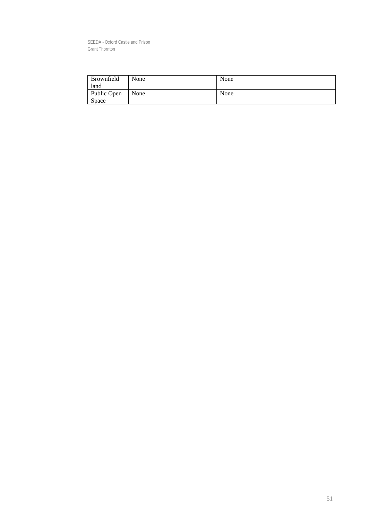| Brownfield   | None | None |
|--------------|------|------|
| land         |      |      |
| Public Open  | None | None |
| <b>Space</b> |      |      |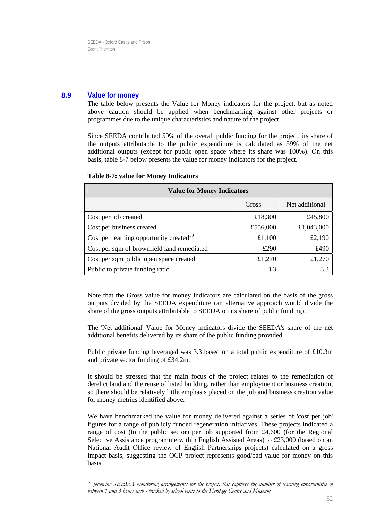## **8.9 Value for money**

The table below presents the Value for Money indicators for the project, but as noted above caution should be applied when benchmarking against other projects or programmes due to the unique characteristics and nature of the project.

Since SEEDA contributed 59% of the overall public funding for the project, its share of the outputs attributable to the public expenditure is calculated as 59% of the net additional outputs (except for public open space where its share was 100%). On this basis, table 8-7 below presents the value for money indicators for the project.

| <b>Value for Money Indicators</b>          |          |                |  |
|--------------------------------------------|----------|----------------|--|
|                                            | Gross    | Net additional |  |
| Cost per job created                       | £18,300  | £45,800        |  |
| Cost per business created                  | £556,000 | £1,043,000     |  |
| Cost per learning opportunity created $30$ | £1,100   | £2,190         |  |
| Cost per sqm of brownfield land remediated | £290     | £490           |  |
| Cost per sqm public open space created     | £1,270   | £1,270         |  |
| Public to private funding ratio            | 3.3      | 3.3            |  |

#### **Table 8-7: value for Money Indicators**

Note that the Gross value for money in dicators are calculated on the basis of the gross outputs divided by the SEEDA expenditure (an alternative approach would divide the hare of the gross outputs attributable to SEEDA on its share of public funding). s

The 'Net additional' Value for Money indicators divide the SEEDA's share of the net additional benefits delivered by its share of the public funding provided.

Public private funding leveraged was 3.3 based on a total public expenditure of £10.3m and private sector funding of £34.2m.

It should be stressed that the main focus of the project relates to the remediation of derelict land and the reuse of listed building, rather than employment or business creation, so there should be relatively little emphasis placed on the job and business creation value for money metrics identified above.

We have benchmarked the value for money delivered against a series of 'cost per job' figures for a range of publicly funded regeneration initiatives. These projects indicated a range of cost (to the public sector) per job supported from  $\text{\pounds}4,600$  (for the Regional Selective Assistance programme within English Assisted Areas) to £23,000 (based on an National Audit Office review of English Partnerships projects) calculated on a gross impact basis, suggesting the OCP project represents good/bad value for money on this basis.

<sup>30</sup> following SEEDA monitoring arrangements for the project, this captures the number of learning opportunities of between 1 and 3 hours each - tracked by school visits to the Heritage Centre and Museum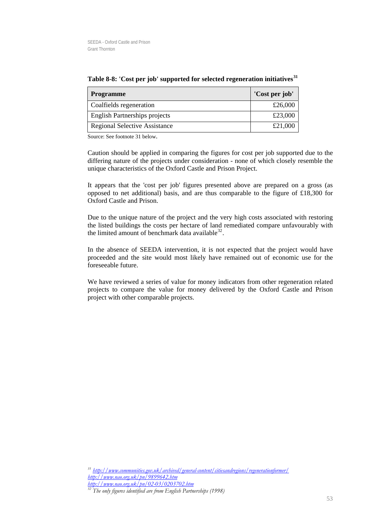| <b>Programme</b>                     | 'Cost per job' |
|--------------------------------------|----------------|
| Coalfields regeneration              | £26,000        |
| <b>English Partnerships projects</b> | £23,000        |
| <b>Regional Selective Assistance</b> | £21,000        |

**n initiatives<sup>31</sup> Table 8-8: 'Cost per job' supported for selected regeneratio**

Source: See footnote 31 below.

Caution should be applied in comparing the figures for cost per job supported due to the differing nature of the projects under consideration - none of which closely resemble the unique characteristics of the Oxford Castle and Prison Project.

It appears that the 'cost per job' figures presented above are prepared on a gross (as opposed to net additional) basis, and are thus comparable to the figure of £18,300 for Oxford Castle and Prison.

the listed buildings the costs per hectare of land remediated compare unfavourably with the limited amount of benchmark data available $^{32}$ . Due to the unique nature of the project and the very high costs associated with restoring

In the absence of SEEDA intervention, it is not expected that the project would have proceeded and the site would most likely have remained out of economic use for the foreseeable future.

We have reviewed a series of value for money indicators from other regeneration related projects to compare the value for money delivered by the Oxford Castle and Prison project with other comparable projects.

*http://www.communities.gov.uk/archived/general-content/citiesandregions/regenerationformer/ 31 http://www.nao.org.uk/pn/9899642.htm http://www.nao.org.uk/pn/02-03/0203702.htm*

<span id="page-53-0"></span><sup>&</sup>lt;sup>32</sup> The only figures identified are from English Partnerships (1998)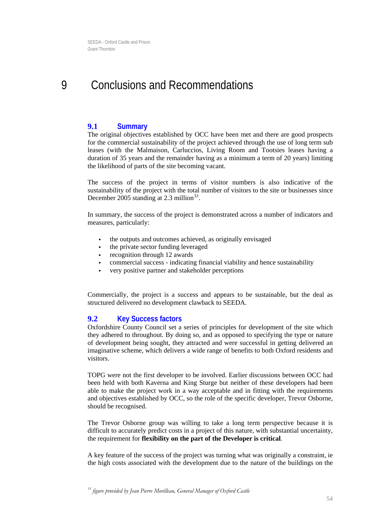#### <span id="page-54-0"></span>9 Conclusions and Recommendations

### **9.1 Summary**

leases (with the Malmaison, Carluccios, Living Room and Tootsies leases having a duration of 35 years and the remainder having as a minimum a term of 20 years) limiting The original objectives established by OCC have been met and there are good prospects for the commercial sustainability of the project achieved through the use of long term sub the likelihood of parts of the site becoming vacant.

December 2005 standing at 2.3 million $^{33}$ . The success of the project in terms of visitor numbers is also indicative of the sustainability of the project with the total number of visitors to the site or businesses since

In summary, the success of the project is demonstrated across a number of indicators and measures, particularly:

- the outputs and outcomes achieved, as originally envisaged
- the private sector funding leveraged
- recognition through 12 awards
- commercial success indicating financial viability and hence sustainability
- very positive partner and stakeholder perceptions

Commercially, the project is a success and appears to be sustainable, but the deal as structured delivered no development clawback to SEEDA.

#### **9.2 Key Success factors**

Oxfordshire County Council set a series of principles for development of the site which they adhered to throughout. By doing so, and as opposed to specifying the type or nature of development being sought, they attracted and were successful in getting delivered an imaginative scheme, which delivers a wide range of benefits to both Oxford residents and visitors.

TOPG were not the first developer to be involved. Earlier discussions between OCC had should be recognised. been held with both Kaverna and King Sturge but neither of these developers had been able to make the project work in a way acceptable and in fitting with the requirements and objectives established by OCC, so the role of the specific developer, Trevor Osborne,

The Trevor Osborne group was willing to take a long term perspective because it is difficult to accurately predict costs in a project of this nature, with substantial uncertainty, the requirement for **flexibility on the part of the Developer is critical**.

A key feature of the success of the project was turning what was originally a constraint, ie the high costs associated with the development due to the nature of the buildings on the

<sup>33</sup> figure provided by Jean Pierre Morilleau, General Manager of Oxford Castle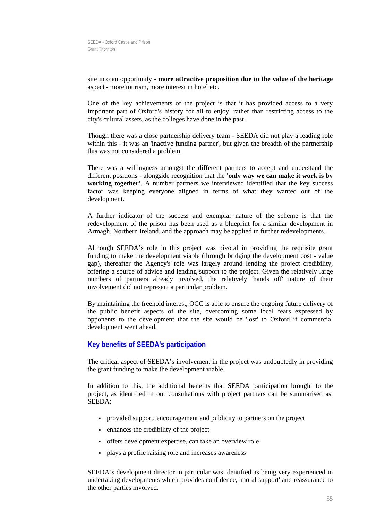site into an opportunity - **more attractive proposition due to the value of the heritage** aspect - more tourism, more interest in hotel etc.

One of the key achievements of the project is that it has provided access to a very important part of Oxford's history for all to enjoy, rather than restricting access to the city's cultural assets, as the colleges have done in the past.

Though there was a close partnership delivery team - SEEDA did not play a leading role within this - it was an 'inactive funding partner', but given the breadth of the partnership this was not considered a problem.

There was a willingness amongst the different partners to accept and understand the working together'. A number partners we interviewed identified that the key success factor was keeping everyone aligned in terms of what they wanted out of the different positions - alongside recognition that the **'only way we can make it work is by**  development.

redevelopment of the prison has been used as a blueprint for a similar development in Armagh, Northern Ireland, and the approach may be applied in further redevelopments. A further indicator of the success and exemplar nature of the scheme is that the

gap), thereafter the Agency's role was largely around lending the project credibility, offering a source of advice and lending support to the project. Given the relatively large numbers of partners already involved, the relatively 'hands off' nature of their involvement did not represent a particular problem. Although SEEDA's role in this project was pivotal in providing the requisite grant funding to make the development viable (through bridging the development cost - value

the public benefit aspects of the site, overcoming some local fears expressed by opponents to the development that the site would be 'lost' to Oxford if commercial By maintaining the freehold interest, OCC is able to ensure the ongoing future delivery of development went ahead.

## **Key benefits of SEEDA's participation**

The critical aspect of SEEDA's involvement in the project was undoubtedly in providing the grant funding to make the development viable.

In addition to this, the additional benefits that SEEDA participation brought to the project, as identified in our consultations with project partners can be summarised as, SEEDA:

- provided support, encouragement and publicity to partners on the project
- enhances the credibility of the project
- offers development expertise, can take an overview role
- plays a profile raising role and increases awareness

SEEDA's development director in particular was identified as being very experienced in undertaking developments which provides confidence, 'moral support' and reassurance to the other parties involved.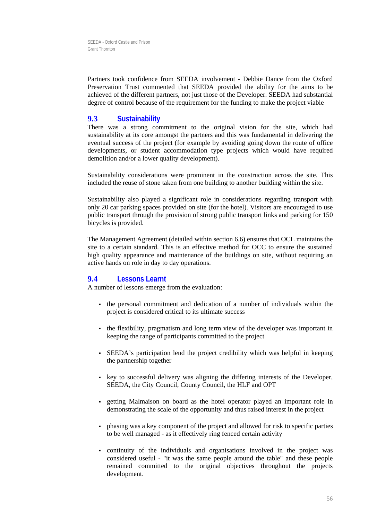Preservation Trust commented that SEEDA provided the ability for the aims to be achieved of the different partners, not just those of the Developer. SEEDA had substantial Partners took confidence from SEEDA involvement - Debbie Dance from the Oxford degree of control because of the requirement for the funding to make the project viable

### **9.3 Sustainability**

There was a strong commitment to the original vision for the site, which had sustainability at its core amongst the partners and this was fundamental in delivering the eventual success of the project (for example by avoiding going down the route of office developments, or student accommodation type projects which would have required demolition and/or a lower quality development).

Sustainability considerations were prominent in the construction across the site. This included the reuse of stone taken from one building to another building within the site.

Sustainability also played a significant role in considerations regarding transport with only 20 car parking spaces provided on site (for the hotel). Visitors are encouraged to use public transport through the provision of strong public transport links and parking for 150 bicycles is provided.

The Management Agreement (detailed within section 6.6) ensures that OCL maintains the site to a certain standard. This is an effective method for OCC to ensure the sustained high quality appearance and maintenance of the buildings on site, without requiring an active hands on role in day to day operations.

## **9.4 Lessons Learnt**

A number of lessons emerge from the evaluation:

- the personal commitment and dedication of a number of individuals within the project is considered critical to its ultimate success
- keeping the range of participants committed to the project the flexibility, pragmatism and long term view of the developer was important in
- SEEDA's participation lend the project credibility which was helpful in keeping the partnership together
- key to successful delivery was aligning the differing interests of the Developer, SEEDA, the City Council, County Council, the HLF and OPT
- getting Malmaison on board as the hotel operator played an important role in demonstrating the scale of the opportunity and thus raised interest in the project
- phasing was a key component of the project and allowed for risk to specific parties to be well managed - as it effectively ring fenced certain activity
- continuity of the individuals and organisations involved in the project was considered useful - "it was the same people around the table" and these people remained committed to the original objectives throughout the projects development.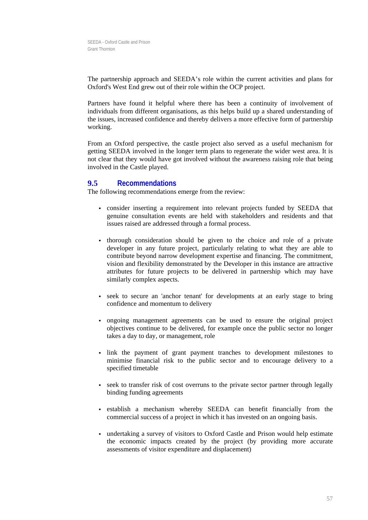The partnership approach and SEEDA's role within the current activities and plans for Oxford's West End grew out of their role within the OCP project.

Partners have found it helpful where there has been a continuity of involvement of individuals from different organisations, as this helps build up a shared understanding of the issues, increased confidence and thereby delivers a more effective form of partnership working.

From an Oxford perspective, the castle project also served as a useful mechanism for getting SEEDA involved in the longer term plans to regenerate the wider west area. It is not clear that they would have got involved without the awareness raising role that being involved in the Castle played.

#### **Recomm endations 9.5**

The following recommendations emerge from the review:

- consider inserting a requirement into relevant projects funded by SEEDA that genuine consultation events are held with stakeholders and residents and that issues raised are addressed through a formal process.
- thorough consideration should be given to the choice and role of a private developer in any future project, particularly relating to what they are able to contribute beyond narrow development expertise and financing. The commitment, vision and flexibility demonstrated by the Developer in this instance are attractive attributes for future projects to be delivered in partnership which may have similarly complex aspects.
- seek to secure an 'anchor tenant' for developments at an early stage to bring confidence and momentum to delivery
- ongoing management agreements can be used to ensure the original project objectives continue to be delivered, for example once the public sector no longer takes a day to day, or management, role
- link the payment of grant payment tranches to development milestones to minimise financial risk to the public sector and to encourage delivery to a specified timetable
- seek to transfer risk of cost overruns to the private sector partner through legally binding funding agreements
- establish a mechanism whereby SEEDA can benefit financially from the commercial success of a project in which it has invested on an ongoing basis.
- undertaking a survey of visitors to Oxford Castle and Prison would help estimate the economic impacts created by the project (by providing more accurate assessments of visitor expenditure and displacement)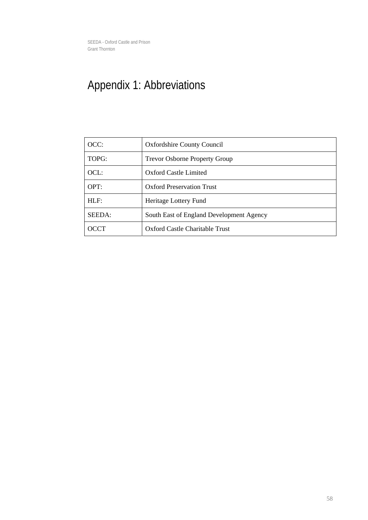# <span id="page-58-0"></span>Appendix 1: Abbreviations

| OCC:        | <b>Oxfordshire County Council</b>        |
|-------------|------------------------------------------|
| TOPG:       | <b>Trevor Osborne Property Group</b>     |
| OCL:        | Oxford Castle Limited                    |
| OPT:        | <b>Oxford Preservation Trust</b>         |
| HLF:        | Heritage Lottery Fund                    |
| SEEDA:      | South East of England Development Agency |
| <b>OCCT</b> | Oxford Castle Charitable Trust           |